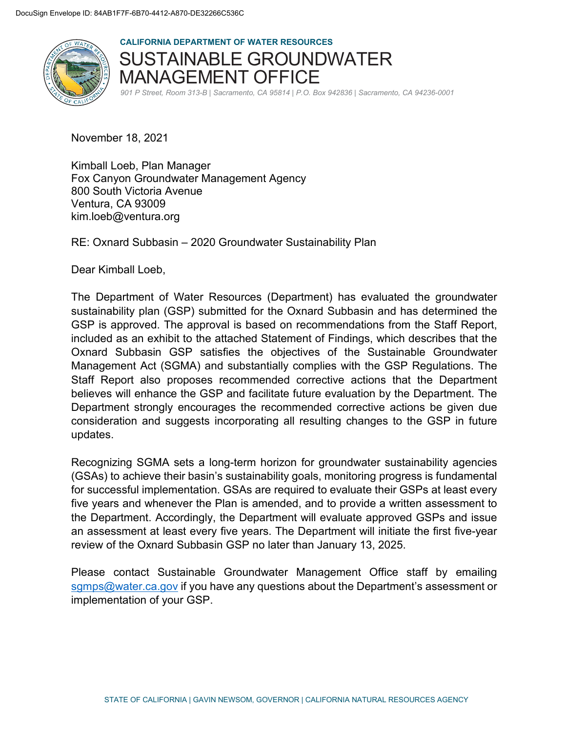

**CALIFORNIA DEPARTMENT OF WATER RESOURCES**  SUSTAINABLE GROUNDWATER MANAGEMENT OFFICE

*901 P Street, Room 313-B | Sacramento, CA 95814 | P.O. Box 942836 | Sacramento, CA 94236-0001*

November 18, 2021

Kimball Loeb, Plan Manager Fox Canyon Groundwater Management Agency 800 South Victoria Avenue Ventura, CA 93009 kim.loeb@ventura.org

RE: Oxnard Subbasin – 2020 Groundwater Sustainability Plan

Dear Kimball Loeb,

The Department of Water Resources (Department) has evaluated the groundwater sustainability plan (GSP) submitted for the Oxnard Subbasin and has determined the GSP is approved. The approval is based on recommendations from the Staff Report, included as an exhibit to the attached Statement of Findings, which describes that the Oxnard Subbasin GSP satisfies the objectives of the Sustainable Groundwater Management Act (SGMA) and substantially complies with the GSP Regulations. The Staff Report also proposes recommended corrective actions that the Department believes will enhance the GSP and facilitate future evaluation by the Department. The Department strongly encourages the recommended corrective actions be given due consideration and suggests incorporating all resulting changes to the GSP in future updates.

Recognizing SGMA sets a long-term horizon for groundwater sustainability agencies (GSAs) to achieve their basin's sustainability goals, monitoring progress is fundamental for successful implementation. GSAs are required to evaluate their GSPs at least every five years and whenever the Plan is amended, and to provide a written assessment to the Department. Accordingly, the Department will evaluate approved GSPs and issue an assessment at least every five years. The Department will initiate the first five-year review of the Oxnard Subbasin GSP no later than January 13, 2025.

Please contact Sustainable Groundwater Management Office staff by emailing sgmps@water.ca.gov if you have any questions about the Department's assessment or implementation of your GSP.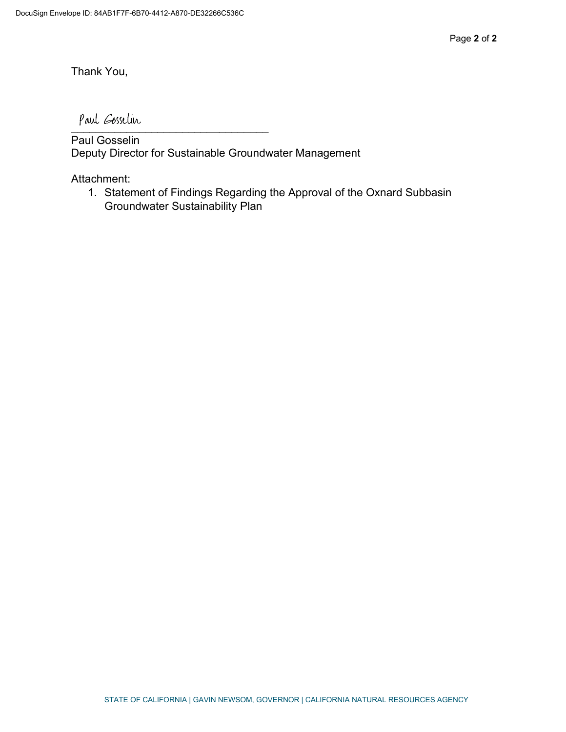Thank You,

\_\_\_\_\_\_\_\_\_\_\_\_\_\_\_\_\_\_\_\_\_\_\_\_\_\_\_\_\_\_\_\_

Paul Gosselin Deputy Director for Sustainable Groundwater Management

Attachment:

1. Statement of Findings Regarding the Approval of the Oxnard Subbasin Groundwater Sustainability Plan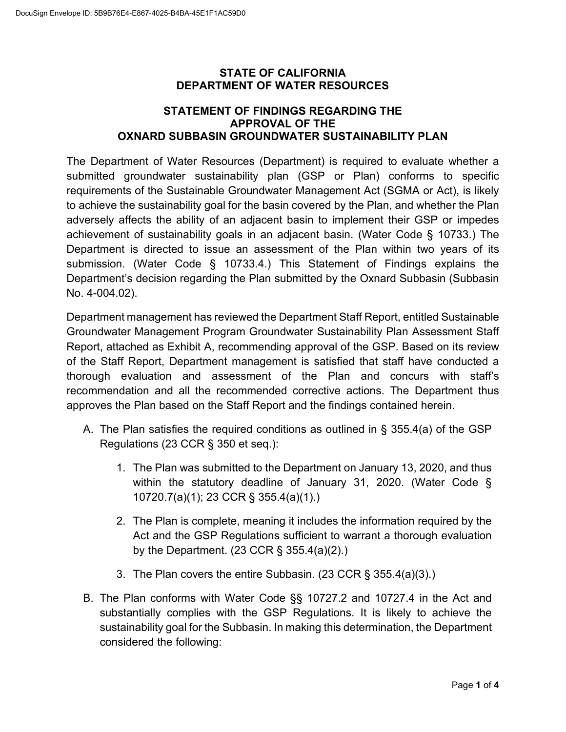#### **STATE OF CALIFORNIA DEPARTMENT OF WATER RESOURCES**

## **STATEMENT OF FINDINGS REGARDING THE APPROVAL OF THE OXNARD SUBBASIN GROUNDWATER SUSTAINABILITY PLAN**

The Department of Water Resources (Department) is required to evaluate whether a submitted groundwater sustainability plan (GSP or Plan) conforms to specific requirements of the Sustainable Groundwater Management Act (SGMA or Act), is likely to achieve the sustainability goal for the basin covered by the Plan, and whether the Plan adversely affects the ability of an adjacent basin to implement their GSP or impedes achievement of sustainability goals in an adjacent basin. (Water Code § 10733.) The Department is directed to issue an assessment of the Plan within two years of its submission. (Water Code § 10733.4.) This Statement of Findings explains the Department's decision regarding the Plan submitted by the Oxnard Subbasin (Subbasin No. 4-004.02).

Department management has reviewed the Department Staff Report, entitled Sustainable Groundwater Management Program Groundwater Sustainability Plan Assessment Staff Report, attached as Exhibit A, recommending approval of the GSP. Based on its review of the Staff Report, Department management is satisfied that staff have conducted a thorough evaluation and assessment of the Plan and concurs with staff's recommendation and all the recommended corrective actions. The Department thus approves the Plan based on the Staff Report and the findings contained herein.

- A. The Plan satisfies the required conditions as outlined in § 355.4(a) of the GSP Regulations (23 CCR § 350 et seq.):
	- 1. The Plan was submitted to the Department on January 13, 2020, and thus within the statutory deadline of January 31, 2020. (Water Code § 10720.7(a)(1); 23 CCR § 355.4(a)(1).)
	- 2. The Plan is complete, meaning it includes the information required by the Act and the GSP Regulations sufficient to warrant a thorough evaluation by the Department. (23 CCR § 355.4(a)(2).)
	- 3. The Plan covers the entire Subbasin. (23 CCR § 355.4(a)(3).)
- B. The Plan conforms with Water Code §§ 10727.2 and 10727.4 in the Act and substantially complies with the GSP Regulations. It is likely to achieve the sustainability goal for the Subbasin. In making this determination, the Department considered the following: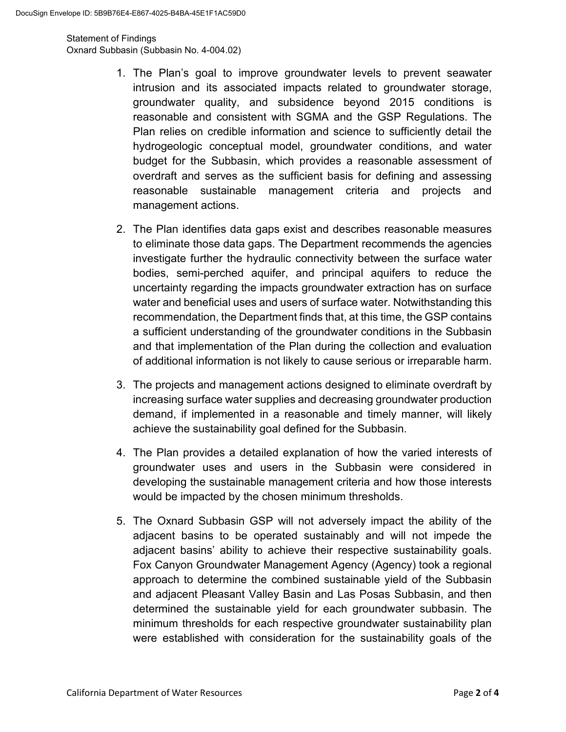Statement of Findings Oxnard Subbasin (Subbasin No. 4-004.02)

- 1. The Plan's goal to improve groundwater levels to prevent seawater intrusion and its associated impacts related to groundwater storage, groundwater quality, and subsidence beyond 2015 conditions is reasonable and consistent with SGMA and the GSP Regulations. The Plan relies on credible information and science to sufficiently detail the hydrogeologic conceptual model, groundwater conditions, and water budget for the Subbasin, which provides a reasonable assessment of overdraft and serves as the sufficient basis for defining and assessing reasonable sustainable management criteria and projects and management actions.
- 2. The Plan identifies data gaps exist and describes reasonable measures to eliminate those data gaps. The Department recommends the agencies investigate further the hydraulic connectivity between the surface water bodies, semi-perched aquifer, and principal aquifers to reduce the uncertainty regarding the impacts groundwater extraction has on surface water and beneficial uses and users of surface water. Notwithstanding this recommendation, the Department finds that, at this time, the GSP contains a sufficient understanding of the groundwater conditions in the Subbasin and that implementation of the Plan during the collection and evaluation of additional information is not likely to cause serious or irreparable harm.
- 3. The projects and management actions designed to eliminate overdraft by increasing surface water supplies and decreasing groundwater production demand, if implemented in a reasonable and timely manner, will likely achieve the sustainability goal defined for the Subbasin.
- 4. The Plan provides a detailed explanation of how the varied interests of groundwater uses and users in the Subbasin were considered in developing the sustainable management criteria and how those interests would be impacted by the chosen minimum thresholds.
- 5. The Oxnard Subbasin GSP will not adversely impact the ability of the adjacent basins to be operated sustainably and will not impede the adjacent basins' ability to achieve their respective sustainability goals. Fox Canyon Groundwater Management Agency (Agency) took a regional approach to determine the combined sustainable yield of the Subbasin and adjacent Pleasant Valley Basin and Las Posas Subbasin, and then determined the sustainable yield for each groundwater subbasin. The minimum thresholds for each respective groundwater sustainability plan were established with consideration for the sustainability goals of the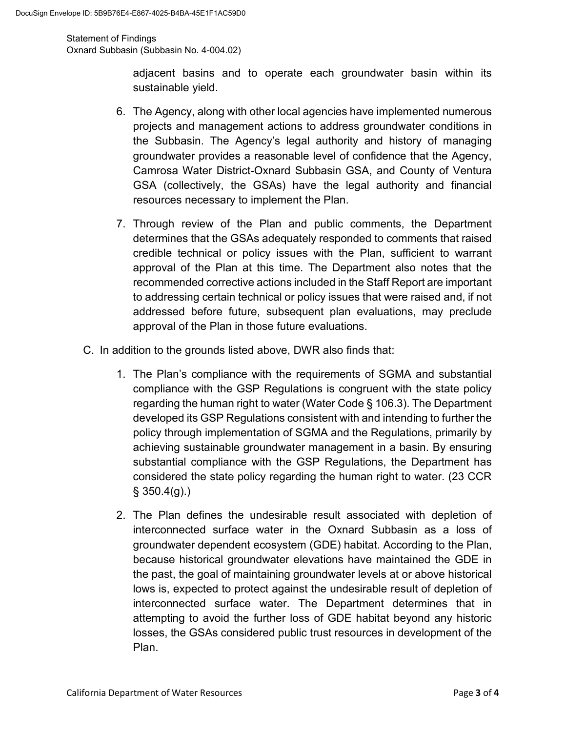Statement of Findings Oxnard Subbasin (Subbasin No. 4-004.02)

> adjacent basins and to operate each groundwater basin within its sustainable yield.

- 6. The Agency, along with other local agencies have implemented numerous projects and management actions to address groundwater conditions in the Subbasin. The Agency's legal authority and history of managing groundwater provides a reasonable level of confidence that the Agency, Camrosa Water District-Oxnard Subbasin GSA, and County of Ventura GSA (collectively, the GSAs) have the legal authority and financial resources necessary to implement the Plan.
- 7. Through review of the Plan and public comments, the Department determines that the GSAs adequately responded to comments that raised credible technical or policy issues with the Plan, sufficient to warrant approval of the Plan at this time. The Department also notes that the recommended corrective actions included in the Staff Report are important to addressing certain technical or policy issues that were raised and, if not addressed before future, subsequent plan evaluations, may preclude approval of the Plan in those future evaluations.
- C. In addition to the grounds listed above, DWR also finds that:
	- 1. The Plan's compliance with the requirements of SGMA and substantial compliance with the GSP Regulations is congruent with the state policy regarding the human right to water (Water Code § 106.3). The Department developed its GSP Regulations consistent with and intending to further the policy through implementation of SGMA and the Regulations, primarily by achieving sustainable groundwater management in a basin. By ensuring substantial compliance with the GSP Regulations, the Department has considered the state policy regarding the human right to water. (23 CCR  $§$  350.4(g).)
	- 2. The Plan defines the undesirable result associated with depletion of interconnected surface water in the Oxnard Subbasin as a loss of groundwater dependent ecosystem (GDE) habitat. According to the Plan, because historical groundwater elevations have maintained the GDE in the past, the goal of maintaining groundwater levels at or above historical lows is, expected to protect against the undesirable result of depletion of interconnected surface water. The Department determines that in attempting to avoid the further loss of GDE habitat beyond any historic losses, the GSAs considered public trust resources in development of the Plan.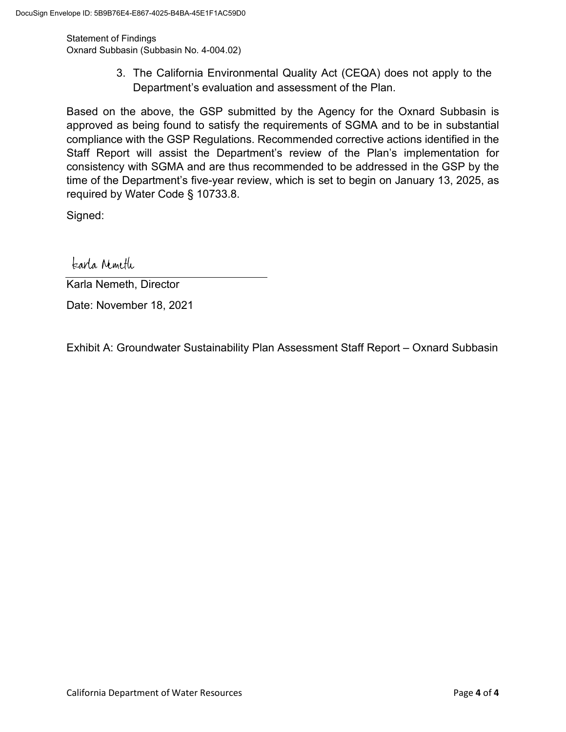Statement of Findings Oxnard Subbasin (Subbasin No. 4-004.02)

> 3. The California Environmental Quality Act (CEQA) does not apply to the Department's evaluation and assessment of the Plan.

Based on the above, the GSP submitted by the Agency for the Oxnard Subbasin is approved as being found to satisfy the requirements of SGMA and to be in substantial compliance with the GSP Regulations. Recommended corrective actions identified in the Staff Report will assist the Department's review of the Plan's implementation for consistency with SGMA and are thus recommended to be addressed in the GSP by the time of the Department's five-year review, which is set to begin on January 13, 2025, as required by Water Code § 10733.8.

Signed:

karla Nimeth

Karla Nemeth, Director

Date: November 18, 2021

Exhibit A: Groundwater Sustainability Plan Assessment Staff Report – Oxnard Subbasin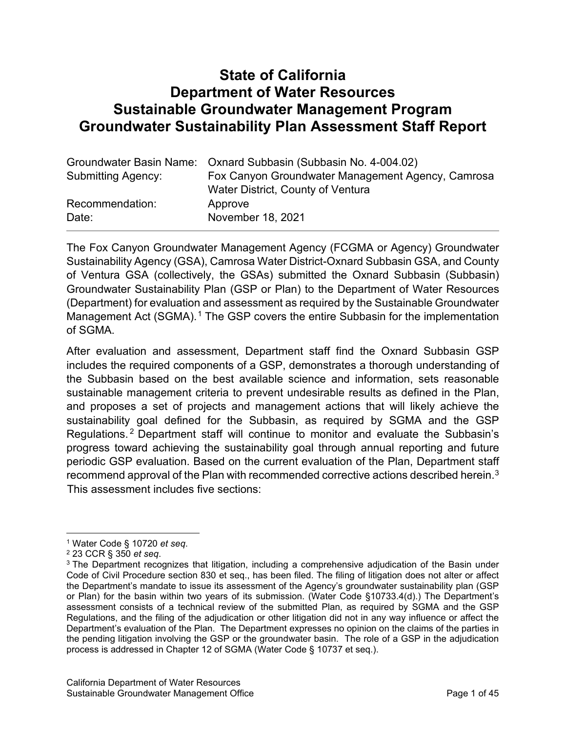# **State of California Department of Water Resources Sustainable Groundwater Management Program Groundwater Sustainability Plan Assessment Staff Report**

|                    | Groundwater Basin Name: Oxnard Subbasin (Subbasin No. 4-004.02) |
|--------------------|-----------------------------------------------------------------|
| Submitting Agency: | Fox Canyon Groundwater Management Agency, Camrosa               |
|                    | Water District, County of Ventura                               |
| Recommendation:    | Approve                                                         |
| Date:              | November 18, 2021                                               |

The Fox Canyon Groundwater Management Agency (FCGMA or Agency) Groundwater Sustainability Agency (GSA), Camrosa Water District-Oxnard Subbasin GSA, and County of Ventura GSA (collectively, the GSAs) submitted the Oxnard Subbasin (Subbasin) Groundwater Sustainability Plan (GSP or Plan) to the Department of Water Resources (Department) for evaluation and assessment as required by the Sustainable Groundwater Management Act (SGMA).<sup>[1](#page-6-0)</sup> The GSP covers the entire Subbasin for the implementation of SGMA.

After evaluation and assessment, Department staff find the Oxnard Subbasin GSP includes the required components of a GSP, demonstrates a thorough understanding of the Subbasin based on the best available science and information, sets reasonable sustainable management criteria to prevent undesirable results as defined in the Plan, and proposes a set of projects and management actions that will likely achieve the sustainability goal defined for the Subbasin, as required by SGMA and the GSP Regulations. [2](#page-6-1) Department staff will continue to monitor and evaluate the Subbasin's progress toward achieving the sustainability goal through annual reporting and future periodic GSP evaluation. Based on the current evaluation of the Plan, Department staff recommend approval of the Plan with recommended corrective actions described herein.[3](#page-6-2) [Th](#page-6-3)is assessment includes five sections:

<span id="page-6-0"></span><sup>1</sup> Water Code § 10720 *et seq*.

<span id="page-6-1"></span><sup>2</sup> 23 CCR § 350 *et seq*.

<span id="page-6-3"></span><span id="page-6-2"></span><sup>&</sup>lt;sup>3</sup> The Department recognizes that litigation, including a comprehensive adjudication of the Basin under Code of Civil Procedure section 830 et seq., has been filed. The filing of litigation does not alter or affect the Department's mandate to issue its assessment of the Agency's groundwater sustainability plan (GSP or Plan) for the basin within two years of its submission. (Water Code §10733.4(d).) The Department's assessment consists of a technical review of the submitted Plan, as required by SGMA and the GSP Regulations, and the filing of the adjudication or other litigation did not in any way influence or affect the Department's evaluation of the Plan. The Department expresses no opinion on the claims of the parties in the pending litigation involving the GSP or the groundwater basin. The role of a GSP in the adjudication process is addressed in Chapter 12 of SGMA (Water Code § 10737 et seq.).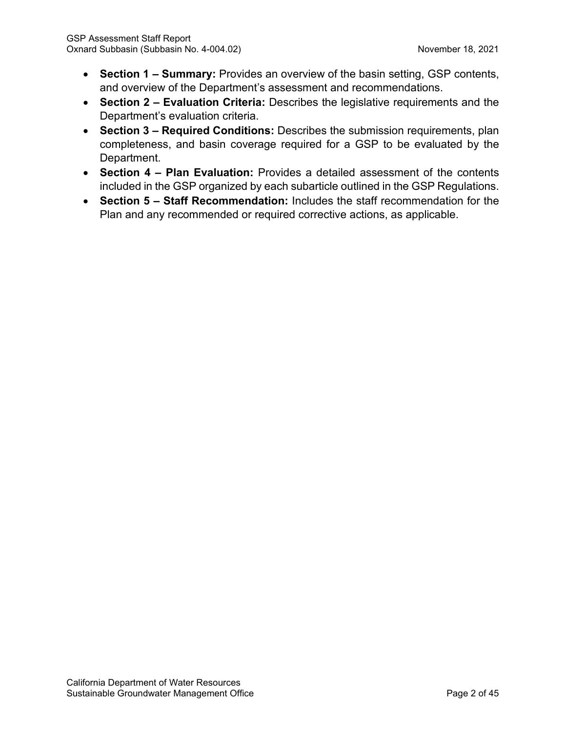- **Section 1 – Summary:** Provides an overview of the basin setting, GSP contents, and overview of the Department's assessment and recommendations.
- **Section 2 – Evaluation Criteria:** Describes the legislative requirements and the Department's evaluation criteria.
- **Section 3 – Required Conditions:** Describes the submission requirements, plan completeness, and basin coverage required for a GSP to be evaluated by the Department.
- **Section 4 – Plan Evaluation:** Provides a detailed assessment of the contents included in the GSP organized by each subarticle outlined in the GSP Regulations.
- **Section 5 – Staff Recommendation:** Includes the staff recommendation for the Plan and any recommended or required corrective actions, as applicable.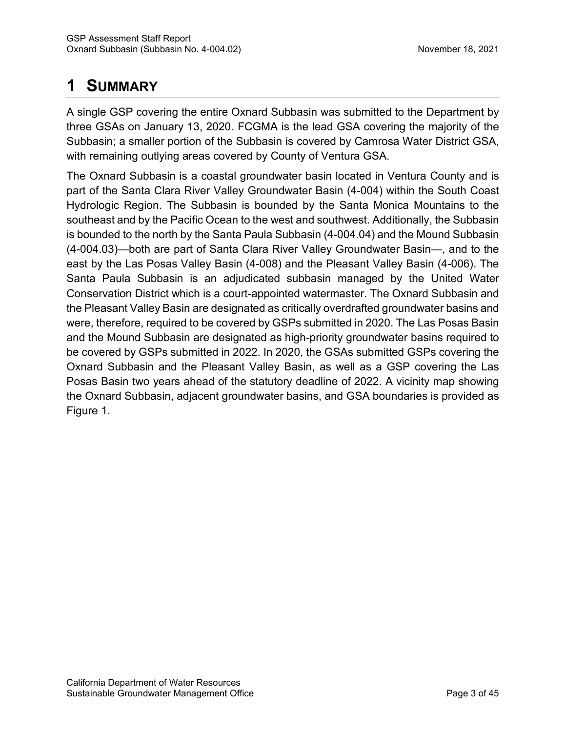# **1 SUMMARY**

A single GSP covering the entire Oxnard Subbasin was submitted to the Department by three GSAs on January 13, 2020. FCGMA is the lead GSA covering the majority of the Subbasin; a smaller portion of the Subbasin is covered by Camrosa Water District GSA, with remaining outlying areas covered by County of Ventura GSA.

The Oxnard Subbasin is a coastal groundwater basin located in Ventura County and is part of the Santa Clara River Valley Groundwater Basin (4-004) within the South Coast Hydrologic Region. The Subbasin is bounded by the Santa Monica Mountains to the southeast and by the Pacific Ocean to the west and southwest. Additionally, the Subbasin is bounded to the north by the Santa Paula Subbasin (4-004.04) and the Mound Subbasin (4-004.03)—both are part of Santa Clara River Valley Groundwater Basin—, and to the east by the Las Posas Valley Basin (4-008) and the Pleasant Valley Basin (4-006). The Santa Paula Subbasin is an adjudicated subbasin managed by the United Water Conservation District which is a court-appointed watermaster. The Oxnard Subbasin and the Pleasant Valley Basin are designated as critically overdrafted groundwater basins and were, therefore, required to be covered by GSPs submitted in 2020. The Las Posas Basin and the Mound Subbasin are designated as high-priority groundwater basins required to be covered by GSPs submitted in 2022. In 2020, the GSAs submitted GSPs covering the Oxnard Subbasin and the Pleasant Valley Basin, as well as a GSP covering the Las Posas Basin two years ahead of the statutory deadline of 2022. A vicinity map showing the Oxnard Subbasin, adjacent groundwater basins, and GSA boundaries is provided as Figure 1.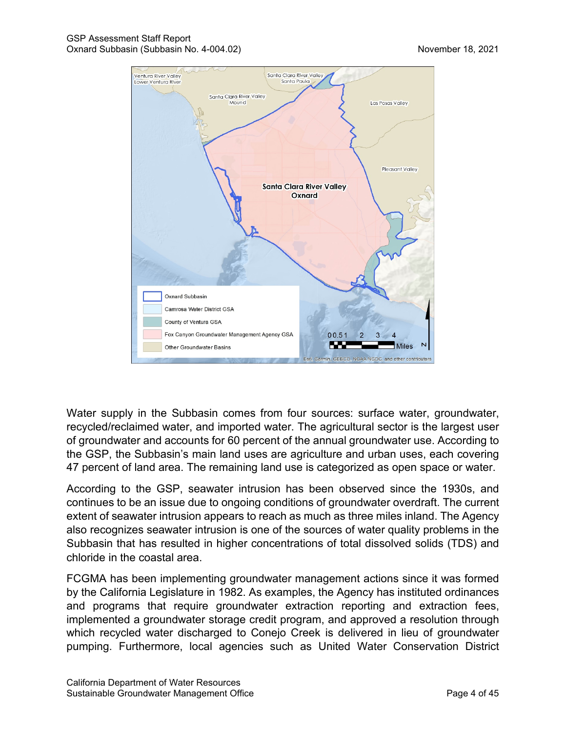

Water supply in the Subbasin comes from four sources: surface water, groundwater, recycled/reclaimed water, and imported water. The agricultural sector is the largest user of groundwater and accounts for 60 percent of the annual groundwater use. According to the GSP, the Subbasin's main land uses are agriculture and urban uses, each covering 47 percent of land area. The remaining land use is categorized as open space or water.

According to the GSP, seawater intrusion has been observed since the 1930s, and continues to be an issue due to ongoing conditions of groundwater overdraft. The current extent of seawater intrusion appears to reach as much as three miles inland. The Agency also recognizes seawater intrusion is one of the sources of water quality problems in the Subbasin that has resulted in higher concentrations of total dissolved solids (TDS) and chloride in the coastal area.

FCGMA has been implementing groundwater management actions since it was formed by the California Legislature in 1982. As examples, the Agency has instituted ordinances and programs that require groundwater extraction reporting and extraction fees, implemented a groundwater storage credit program, and approved a resolution through which recycled water discharged to Conejo Creek is delivered in lieu of groundwater pumping. Furthermore, local agencies such as United Water Conservation District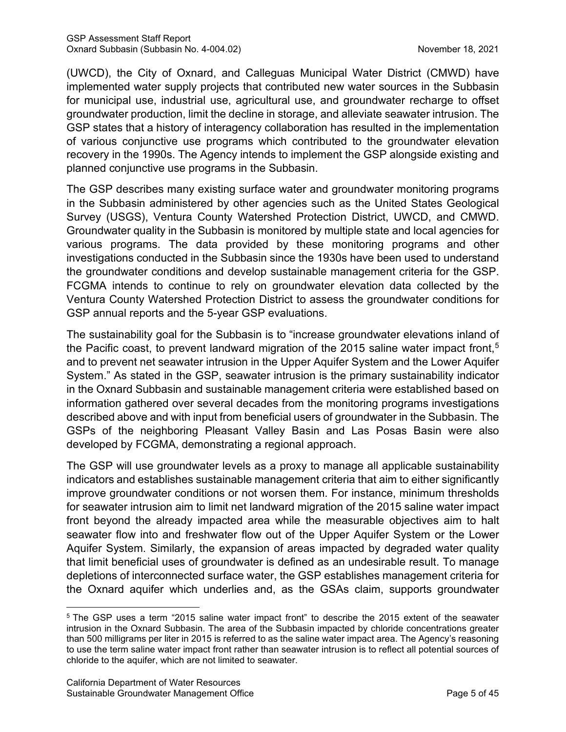(UWCD), the City of Oxnard, and Calleguas Municipal Water District (CMWD) have implemented water supply projects that contributed new water sources in the Subbasin for municipal use, industrial use, agricultural use, and groundwater recharge to offset groundwater production, limit the decline in storage, and alleviate seawater intrusion. The GSP states that a history of interagency collaboration has resulted in the implementation of various conjunctive use programs which contributed to the groundwater elevation recovery in the 1990s. The Agency intends to implement the GSP alongside existing and planned conjunctive use programs in the Subbasin.

The GSP describes many existing surface water and groundwater monitoring programs in the Subbasin administered by other agencies such as the United States Geological Survey (USGS), Ventura County Watershed Protection District, UWCD, and CMWD. Groundwater quality in the Subbasin is monitored by multiple state and local agencies for various programs. The data provided by these monitoring programs and other investigations conducted in the Subbasin since the 1930s have been used to understand the groundwater conditions and develop sustainable management criteria for the GSP. FCGMA intends to continue to rely on groundwater elevation data collected by the Ventura County Watershed Protection District to assess the groundwater conditions for GSP annual reports and the 5-year GSP evaluations.

The sustainability goal for the Subbasin is to "increase groundwater elevations inland of the Pacific coast, to prevent landward migration of the 2015 saline water impact front, [5](#page-10-0) and to prevent net seawater intrusion in the Upper Aquifer System and the Lower Aquifer System." As stated in the GSP, seawater intrusion is the primary sustainability indicator in the Oxnard Subbasin and sustainable management criteria were established based on information gathered over several decades from the monitoring programs investigations described above and with input from beneficial users of groundwater in the Subbasin. The GSPs of the neighboring Pleasant Valley Basin and Las Posas Basin were also developed by FCGMA, demonstrating a regional approach.

The GSP will use groundwater levels as a proxy to manage all applicable sustainability indicators and establishes sustainable management criteria that aim to either significantly improve groundwater conditions or not worsen them. For instance, minimum thresholds for seawater intrusion aim to limit net landward migration of the 2015 saline water impact front beyond the already impacted area while the measurable objectives aim to halt seawater flow into and freshwater flow out of the Upper Aquifer System or the Lower Aquifer System. Similarly, the expansion of areas impacted by degraded water quality that limit beneficial uses of groundwater is defined as an undesirable result. To manage depletions of interconnected surface water, the GSP establishes management criteria for the Oxnard aquifer which underlies and, as the GSAs claim, supports groundwater

<span id="page-10-0"></span><sup>5</sup> The GSP uses a term "2015 saline water impact front" to describe the 2015 extent of the seawater intrusion in the Oxnard Subbasin. The area of the Subbasin impacted by chloride concentrations greater than 500 milligrams per liter in 2015 is referred to as the saline water impact area. The Agency's reasoning to use the term saline water impact front rather than seawater intrusion is to reflect all potential sources of chloride to the aquifer, which are not limited to seawater.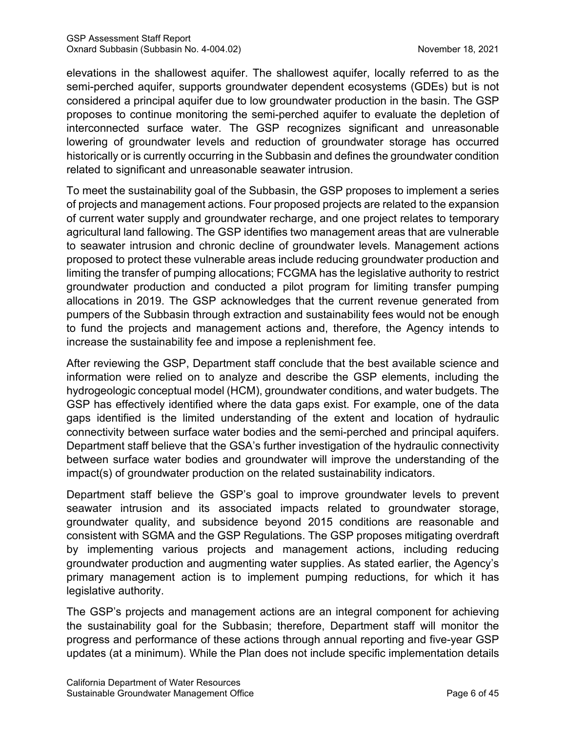elevations in the shallowest aquifer. The shallowest aquifer, locally referred to as the semi-perched aquifer, supports groundwater dependent ecosystems (GDEs) but is not considered a principal aquifer due to low groundwater production in the basin. The GSP proposes to continue monitoring the semi-perched aquifer to evaluate the depletion of interconnected surface water. The GSP recognizes significant and unreasonable lowering of groundwater levels and reduction of groundwater storage has occurred historically or is currently occurring in the Subbasin and defines the groundwater condition related to significant and unreasonable seawater intrusion.

To meet the sustainability goal of the Subbasin, the GSP proposes to implement a series of projects and management actions. Four proposed projects are related to the expansion of current water supply and groundwater recharge, and one project relates to temporary agricultural land fallowing. The GSP identifies two management areas that are vulnerable to seawater intrusion and chronic decline of groundwater levels. Management actions proposed to protect these vulnerable areas include reducing groundwater production and limiting the transfer of pumping allocations; FCGMA has the legislative authority to restrict groundwater production and conducted a pilot program for limiting transfer pumping allocations in 2019. The GSP acknowledges that the current revenue generated from pumpers of the Subbasin through extraction and sustainability fees would not be enough to fund the projects and management actions and, therefore, the Agency intends to increase the sustainability fee and impose a replenishment fee.

After reviewing the GSP, Department staff conclude that the best available science and information were relied on to analyze and describe the GSP elements, including the hydrogeologic conceptual model (HCM), groundwater conditions, and water budgets. The GSP has effectively identified where the data gaps exist. For example, one of the data gaps identified is the limited understanding of the extent and location of hydraulic connectivity between surface water bodies and the semi-perched and principal aquifers. Department staff believe that the GSA's further investigation of the hydraulic connectivity between surface water bodies and groundwater will improve the understanding of the impact(s) of groundwater production on the related sustainability indicators.

Department staff believe the GSP's goal to improve groundwater levels to prevent seawater intrusion and its associated impacts related to groundwater storage, groundwater quality, and subsidence beyond 2015 conditions are reasonable and consistent with SGMA and the GSP Regulations. The GSP proposes mitigating overdraft by implementing various projects and management actions, including reducing groundwater production and augmenting water supplies. As stated earlier, the Agency's primary management action is to implement pumping reductions, for which it has legislative authority.

The GSP's projects and management actions are an integral component for achieving the sustainability goal for the Subbasin; therefore, Department staff will monitor the progress and performance of these actions through annual reporting and five-year GSP updates (at a minimum). While the Plan does not include specific implementation details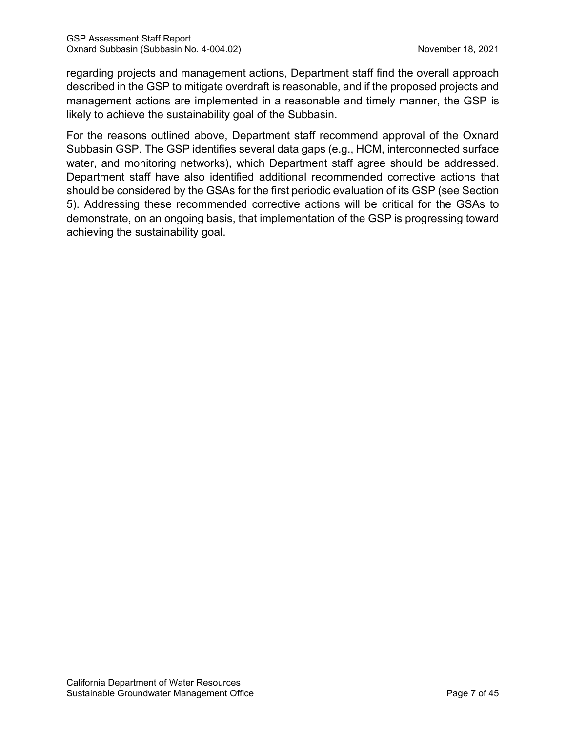regarding projects and management actions, Department staff find the overall approach described in the GSP to mitigate overdraft is reasonable, and if the proposed projects and management actions are implemented in a reasonable and timely manner, the GSP is likely to achieve the sustainability goal of the Subbasin.

For the reasons outlined above, Department staff recommend approval of the Oxnard Subbasin GSP. The GSP identifies several data gaps (e.g., HCM, interconnected surface water, and monitoring networks), which Department staff agree should be addressed. Department staff have also identified additional recommended corrective actions that should be considered by the GSAs for the first periodic evaluation of its GSP (see Section 5). Addressing these recommended corrective actions will be critical for the GSAs to demonstrate, on an ongoing basis, that implementation of the GSP is progressing toward achieving the sustainability goal.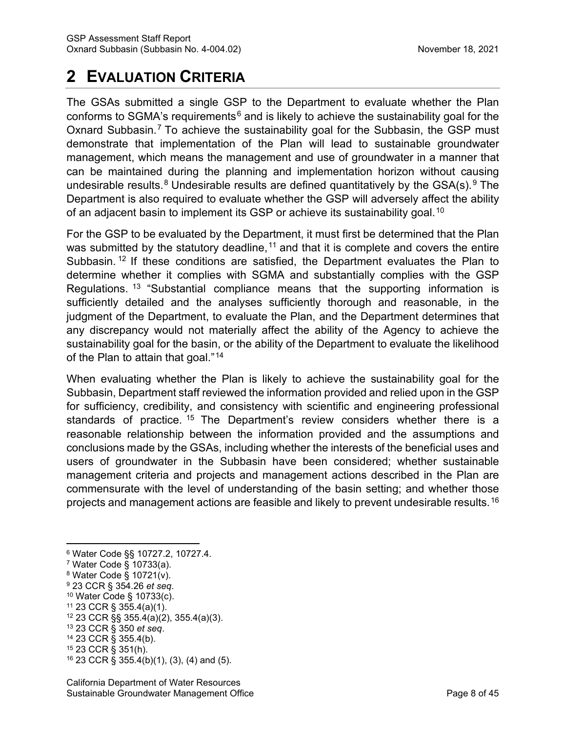# **2 EVALUATION CRITERIA**

The GSAs submitted a single GSP to the Department to evaluate whether the Plan conforms to SGMA's requirements<sup>[6](#page-13-0)</sup> and is likely to achieve the sustainability goal for the Oxnard Subbasin.<sup>[7](#page-13-1)</sup> To achieve the sustainability goal for the Subbasin, the GSP must demonstrate that implementation of the Plan will lead to sustainable groundwater management, which means the management and use of groundwater in a manner that can be maintained during the planning and implementation horizon without causing undesirable results.<sup>[8](#page-13-2)</sup> Undesirable results are defined quantitatively by the GSA(s).<sup>[9](#page-13-3)</sup> The Department is also required to evaluate whether the GSP will adversely affect the ability of an adjacent basin to implement its GSP or achieve its sustainability goal.<sup>[10](#page-13-4)</sup>

For the GSP to be evaluated by the Department, it must first be determined that the Plan was submitted by the statutory deadline,  $11$  and that it is complete and covers the entire Subbasin.<sup>[12](#page-13-6)</sup> If these conditions are satisfied, the Department evaluates the Plan to determine whether it complies with SGMA and substantially complies with the GSP Regulations. [13](#page-13-7) "Substantial compliance means that the supporting information is sufficiently detailed and the analyses sufficiently thorough and reasonable, in the judgment of the Department, to evaluate the Plan, and the Department determines that any discrepancy would not materially affect the ability of the Agency to achieve the sustainability goal for the basin, or the ability of the Department to evaluate the likelihood of the Plan to attain that goal."<sup>[14](#page-13-8)</sup>

When evaluating whether the Plan is likely to achieve the sustainability goal for the Subbasin, Department staff reviewed the information provided and relied upon in the GSP for sufficiency, credibility, and consistency with scientific and engineering professional standards of practice. <sup>[15](#page-13-9)</sup> The Department's review considers whether there is a reasonable relationship between the information provided and the assumptions and conclusions made by the GSAs, including whether the interests of the beneficial uses and users of groundwater in the Subbasin have been considered; whether sustainable management criteria and projects and management actions described in the Plan are commensurate with the level of understanding of the basin setting; and whether those projects and management actions are feasible and likely to prevent undesirable results.[16](#page-13-10)

- <span id="page-13-4"></span><sup>10</sup> Water Code § 10733(c).
- <span id="page-13-5"></span><sup>11</sup> 23 CCR § 355.4(a)(1).
- <span id="page-13-6"></span><sup>12</sup> 23 CCR §§ 355.4(a)(2), 355.4(a)(3).
- <span id="page-13-7"></span><sup>13</sup> 23 CCR § 350 *et seq*. <sup>14</sup> 23 CCR § 355.4(b).
- <span id="page-13-8"></span>
- <span id="page-13-9"></span><sup>15</sup> 23 CCR § 351(h).
- <span id="page-13-10"></span><sup>16</sup> 23 CCR § 355.4(b)(1), (3), (4) and (5).

<span id="page-13-0"></span><sup>6</sup> Water Code §§ 10727.2, 10727.4.

<span id="page-13-1"></span><sup>7</sup> Water Code § 10733(a).

<span id="page-13-2"></span><sup>8</sup> Water Code § 10721(v).

<span id="page-13-3"></span><sup>9</sup> 23 CCR § 354.26 *et seq*.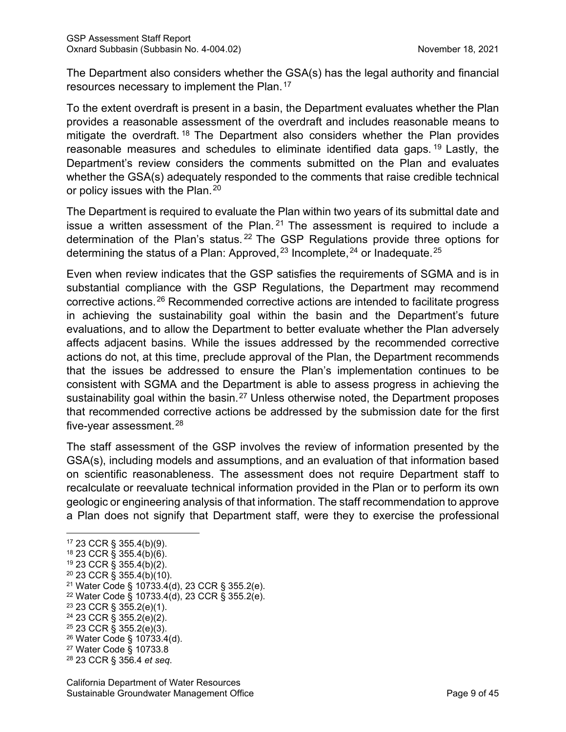The Department also considers whether the GSA(s) has the legal authority and financial resources necessary to implement the Plan.<sup>[17](#page-14-0)</sup>

To the extent overdraft is present in a basin, the Department evaluates whether the Plan provides a reasonable assessment of the overdraft and includes reasonable means to mitigate the overdraft.<sup>[18](#page-14-1)</sup> The Department also considers whether the Plan provides reasonable measures and schedules to eliminate identified data gaps. [19](#page-14-2) Lastly, the Department's review considers the comments submitted on the Plan and evaluates whether the GSA(s) adequately responded to the comments that raise credible technical or policy issues with the Plan.<sup>[20](#page-14-3)</sup>

The Department is required to evaluate the Plan within two years of its submittal date and issue a written assessment of the Plan.  $21$  The assessment is required to include a determination of the Plan's status. [22](#page-14-5) The GSP Regulations provide three options for determining the status of a Plan: Approved,  $23$  Incomplete,  $24$  or Inadequate.  $25$ 

Even when review indicates that the GSP satisfies the requirements of SGMA and is in substantial compliance with the GSP Regulations, the Department may recommend corrective actions.[26](#page-14-9) Recommended corrective actions are intended to facilitate progress in achieving the sustainability goal within the basin and the Department's future evaluations, and to allow the Department to better evaluate whether the Plan adversely affects adjacent basins. While the issues addressed by the recommended corrective actions do not, at this time, preclude approval of the Plan, the Department recommends that the issues be addressed to ensure the Plan's implementation continues to be consistent with SGMA and the Department is able to assess progress in achieving the sustainability goal within the basin.<sup>[27](#page-14-10)</sup> Unless otherwise noted, the Department proposes that recommended corrective actions be addressed by the submission date for the first five-year assessment. $^{28}$  $^{28}$  $^{28}$ 

The staff assessment of the GSP involves the review of information presented by the GSA(s), including models and assumptions, and an evaluation of that information based on scientific reasonableness. The assessment does not require Department staff to recalculate or reevaluate technical information provided in the Plan or to perform its own geologic or engineering analysis of that information. The staff recommendation to approve a Plan does not signify that Department staff, were they to exercise the professional

<span id="page-14-4"></span><sup>21</sup> Water Code § 10733.4(d), 23 CCR § 355.2(e).

- <span id="page-14-6"></span><sup>23</sup> 23 CCR § 355.2(e)(1).
- <span id="page-14-7"></span><sup>24</sup> 23 CCR § 355.2(e)(2).
- <span id="page-14-8"></span> $25$  23 CCR § 355.2(e)(3).
- <span id="page-14-9"></span><sup>26</sup> Water Code § 10733.4(d).
- <span id="page-14-10"></span><sup>27</sup> Water Code § 10733.8
- <span id="page-14-11"></span><sup>28</sup> 23 CCR § 356.4 *et seq*.

<span id="page-14-0"></span><sup>17</sup> 23 CCR § 355.4(b)(9).

<span id="page-14-1"></span><sup>18</sup> 23 CCR § 355.4(b)(6).

<span id="page-14-2"></span><sup>19</sup> 23 CCR § 355.4(b)(2).

<span id="page-14-3"></span> $20$  23 CCR § 355.4(b)(10).

<span id="page-14-5"></span><sup>22</sup> Water Code § 10733.4(d), 23 CCR § 355.2(e).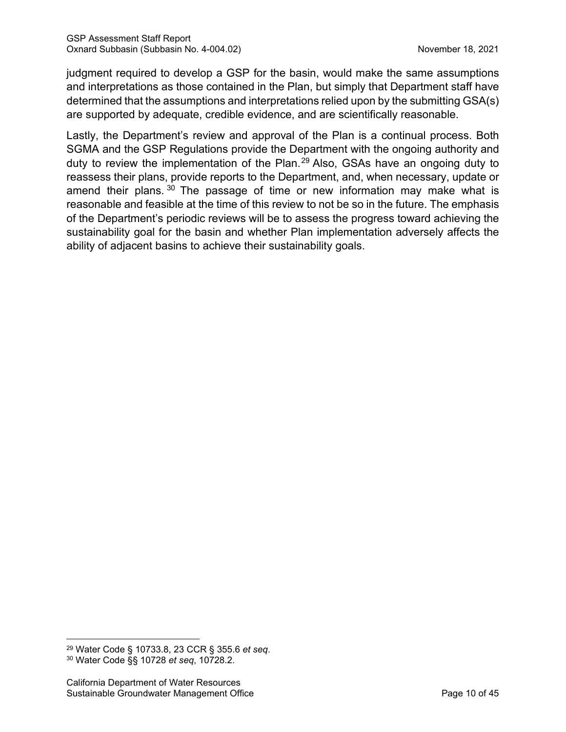judgment required to develop a GSP for the basin, would make the same assumptions and interpretations as those contained in the Plan, but simply that Department staff have determined that the assumptions and interpretations relied upon by the submitting GSA(s) are supported by adequate, credible evidence, and are scientifically reasonable.

Lastly, the Department's review and approval of the Plan is a continual process. Both SGMA and the GSP Regulations provide the Department with the ongoing authority and duty to review the implementation of the Plan.<sup>[29](#page-15-0)</sup> Also, GSAs have an ongoing duty to reassess their plans, provide reports to the Department, and, when necessary, update or amend their plans.  $30$  The passage of time or new information may make what is reasonable and feasible at the time of this review to not be so in the future. The emphasis of the Department's periodic reviews will be to assess the progress toward achieving the sustainability goal for the basin and whether Plan implementation adversely affects the ability of adjacent basins to achieve their sustainability goals.

<span id="page-15-1"></span><span id="page-15-0"></span><sup>29</sup> Water Code § 10733.8, 23 CCR § 355.6 *et seq*. <sup>30</sup> Water Code §§ 10728 *et seq*, 10728.2.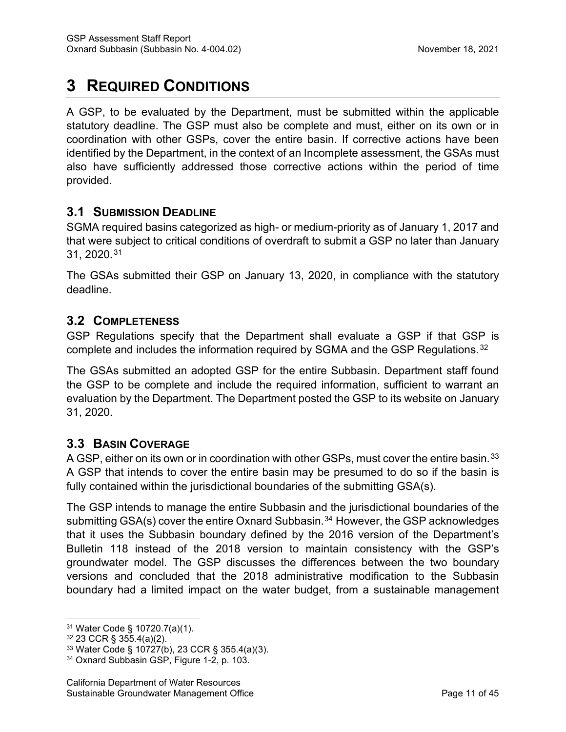# **3 REQUIRED CONDITIONS**

A GSP, to be evaluated by the Department, must be submitted within the applicable statutory deadline. The GSP must also be complete and must, either on its own or in coordination with other GSPs, cover the entire basin. If corrective actions have been identified by the Department, in the context of an Incomplete assessment, the GSAs must also have sufficiently addressed those corrective actions within the period of time provided.

# **3.1 SUBMISSION DEADLINE**

SGMA required basins categorized as high- or medium-priority as of January 1, 2017 and that were subject to critical conditions of overdraft to submit a GSP no later than January 31, 2020.[31](#page-16-0)

The GSAs submitted their GSP on January 13, 2020, in compliance with the statutory deadline.

# **3.2 COMPLETENESS**

GSP Regulations specify that the Department shall evaluate a GSP if that GSP is complete and includes the information required by SGMA and the GSP Regulations.<sup>[32](#page-16-1)</sup>

The GSAs submitted an adopted GSP for the entire Subbasin. Department staff found the GSP to be complete and include the required information, sufficient to warrant an evaluation by the Department. The Department posted the GSP to its website on January 31, 2020.

# **3.3 BASIN COVERAGE**

A GSP, either on its own or in coordination with other GSPs, must cover the entire basin.<sup>[33](#page-16-2)</sup> A GSP that intends to cover the entire basin may be presumed to do so if the basin is fully contained within the jurisdictional boundaries of the submitting GSA(s).

The GSP intends to manage the entire Subbasin and the jurisdictional boundaries of the submitting GSA(s) cover the entire Oxnard Subbasin.<sup>[34](#page-16-3)</sup> However, the GSP acknowledges that it uses the Subbasin boundary defined by the 2016 version of the Department's Bulletin 118 instead of the 2018 version to maintain consistency with the GSP's groundwater model. The GSP discusses the differences between the two boundary versions and concluded that the 2018 administrative modification to the Subbasin boundary had a limited impact on the water budget, from a sustainable management

<span id="page-16-0"></span><sup>31</sup> Water Code § 10720.7(a)(1).

<span id="page-16-1"></span><sup>32</sup> 23 CCR § 355.4(a)(2).

<span id="page-16-2"></span><sup>33</sup> Water Code § 10727(b), 23 CCR § 355.4(a)(3).

<span id="page-16-3"></span><sup>34</sup> Oxnard Subbasin GSP, Figure 1-2, p. 103.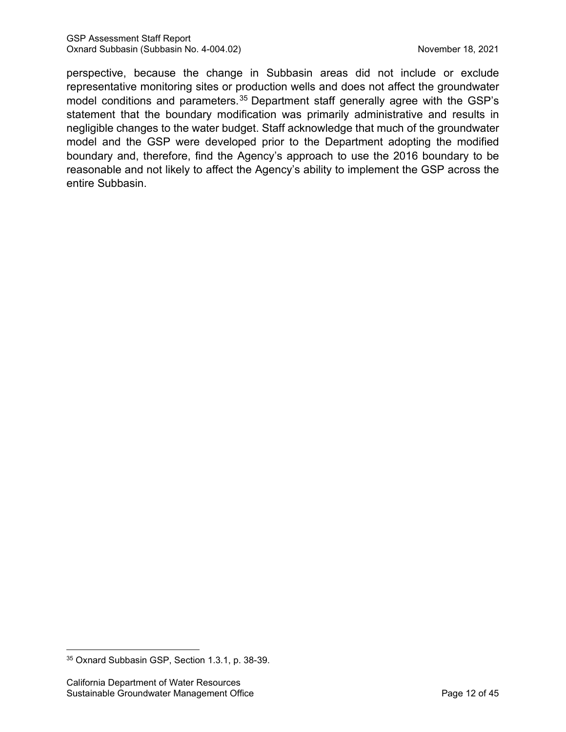perspective, because the change in Subbasin areas did not include or exclude representative monitoring sites or production wells and does not affect the groundwater model conditions and parameters.<sup>[35](#page-17-0)</sup> Department staff generally agree with the GSP's statement that the boundary modification was primarily administrative and results in negligible changes to the water budget. Staff acknowledge that much of the groundwater model and the GSP were developed prior to the Department adopting the modified boundary and, therefore, find the Agency's approach to use the 2016 boundary to be reasonable and not likely to affect the Agency's ability to implement the GSP across the entire Subbasin.

<span id="page-17-0"></span><sup>35</sup> Oxnard Subbasin GSP, Section 1.3.1, p. 38-39.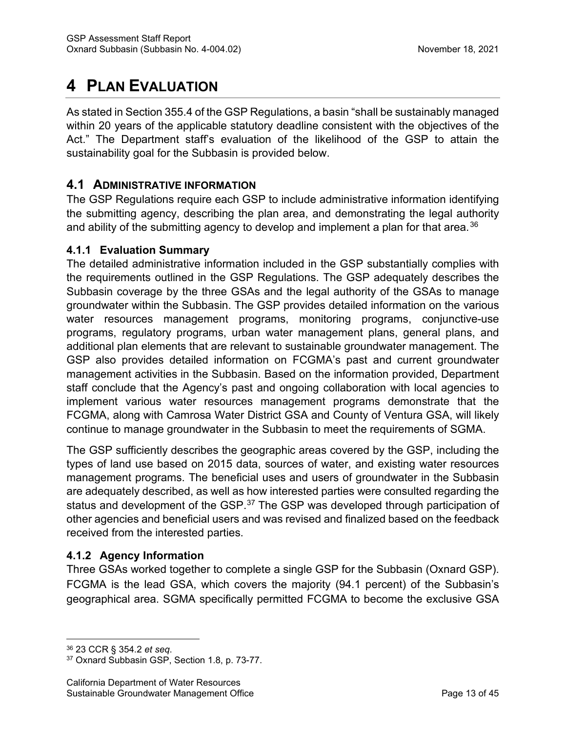# **4 PLAN EVALUATION**

As stated in Section 355.4 of the GSP Regulations, a basin "shall be sustainably managed within 20 years of the applicable statutory deadline consistent with the objectives of the Act." The Department staff's evaluation of the likelihood of the GSP to attain the sustainability goal for the Subbasin is provided below.

# **4.1 ADMINISTRATIVE INFORMATION**

The GSP Regulations require each GSP to include administrative information identifying the submitting agency, describing the plan area, and demonstrating the legal authority and ability of the submitting agency to develop and implement a plan for that area.<sup>[36](#page-18-0)</sup>

#### **4.1.1 Evaluation Summary**

The detailed administrative information included in the GSP substantially complies with the requirements outlined in the GSP Regulations. The GSP adequately describes the Subbasin coverage by the three GSAs and the legal authority of the GSAs to manage groundwater within the Subbasin. The GSP provides detailed information on the various water resources management programs, monitoring programs, conjunctive-use programs, regulatory programs, urban water management plans, general plans, and additional plan elements that are relevant to sustainable groundwater management. The GSP also provides detailed information on FCGMA's past and current groundwater management activities in the Subbasin. Based on the information provided, Department staff conclude that the Agency's past and ongoing collaboration with local agencies to implement various water resources management programs demonstrate that the FCGMA, along with Camrosa Water District GSA and County of Ventura GSA, will likely continue to manage groundwater in the Subbasin to meet the requirements of SGMA.

The GSP sufficiently describes the geographic areas covered by the GSP, including the types of land use based on 2015 data, sources of water, and existing water resources management programs. The beneficial uses and users of groundwater in the Subbasin are adequately described, as well as how interested parties were consulted regarding the status and development of the GSP.<sup>[37](#page-18-1)</sup> The GSP was developed through participation of other agencies and beneficial users and was revised and finalized based on the feedback received from the interested parties.

## **4.1.2 Agency Information**

Three GSAs worked together to complete a single GSP for the Subbasin (Oxnard GSP). FCGMA is the lead GSA, which covers the majority (94.1 percent) of the Subbasin's geographical area. SGMA specifically permitted FCGMA to become the exclusive GSA

<span id="page-18-0"></span><sup>36</sup> 23 CCR § 354.2 *et seq*.

<span id="page-18-1"></span><sup>37</sup> Oxnard Subbasin GSP, Section 1.8, p. 73-77.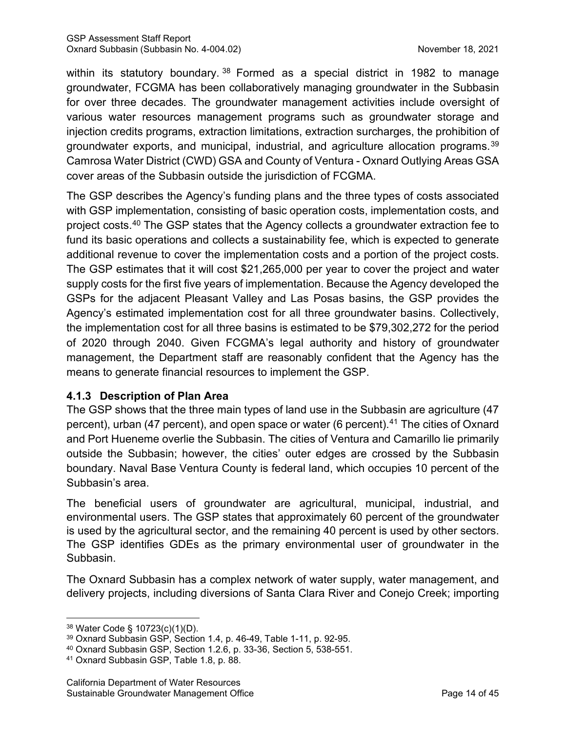within its statutory boundary.<sup>[38](#page-19-0)</sup> Formed as a special district in 1982 to manage groundwater, FCGMA has been collaboratively managing groundwater in the Subbasin for over three decades. The groundwater management activities include oversight of various water resources management programs such as groundwater storage and injection credits programs, extraction limitations, extraction surcharges, the prohibition of groundwater exports, and municipal, industrial, and agriculture allocation programs.<sup>[39](#page-19-1)</sup> Camrosa Water District (CWD) GSA and County of Ventura - Oxnard Outlying Areas GSA cover areas of the Subbasin outside the jurisdiction of FCGMA.

The GSP describes the Agency's funding plans and the three types of costs associated with GSP implementation, consisting of basic operation costs, implementation costs, and project costs.[40](#page-19-2) The GSP states that the Agency collects a groundwater extraction fee to fund its basic operations and collects a sustainability fee, which is expected to generate additional revenue to cover the implementation costs and a portion of the project costs. The GSP estimates that it will cost \$21,265,000 per year to cover the project and water supply costs for the first five years of implementation. Because the Agency developed the GSPs for the adjacent Pleasant Valley and Las Posas basins, the GSP provides the Agency's estimated implementation cost for all three groundwater basins. Collectively, the implementation cost for all three basins is estimated to be \$79,302,272 for the period of 2020 through 2040. Given FCGMA's legal authority and history of groundwater management, the Department staff are reasonably confident that the Agency has the means to generate financial resources to implement the GSP.

## **4.1.3 Description of Plan Area**

The GSP shows that the three main types of land use in the Subbasin are agriculture (47 percent), urban (47 percent), and open space or water (6 percent).<sup>[41](#page-19-3)</sup> The cities of Oxnard and Port Hueneme overlie the Subbasin. The cities of Ventura and Camarillo lie primarily outside the Subbasin; however, the cities' outer edges are crossed by the Subbasin boundary. Naval Base Ventura County is federal land, which occupies 10 percent of the Subbasin's area.

The beneficial users of groundwater are agricultural, municipal, industrial, and environmental users. The GSP states that approximately 60 percent of the groundwater is used by the agricultural sector, and the remaining 40 percent is used by other sectors. The GSP identifies GDEs as the primary environmental user of groundwater in the Subbasin.

The Oxnard Subbasin has a complex network of water supply, water management, and delivery projects, including diversions of Santa Clara River and Conejo Creek; importing

<span id="page-19-0"></span><sup>38</sup> Water Code § 10723(c)(1)(D).

<span id="page-19-1"></span><sup>39</sup> Oxnard Subbasin GSP, Section 1.4, p. 46-49, Table 1-11, p. 92-95.

<span id="page-19-2"></span><sup>40</sup> Oxnard Subbasin GSP, Section 1.2.6, p. 33-36, Section 5, 538-551.

<span id="page-19-3"></span><sup>41</sup> Oxnard Subbasin GSP, Table 1.8, p. 88.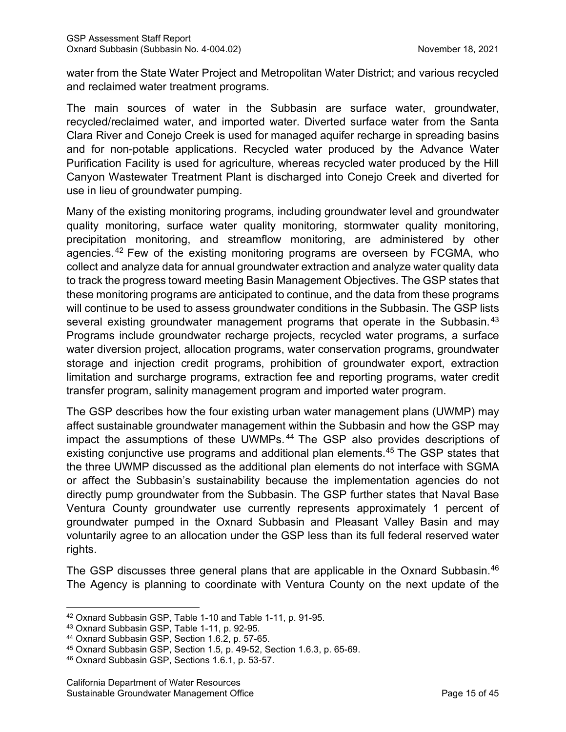water from the State Water Project and Metropolitan Water District; and various recycled and reclaimed water treatment programs.

The main sources of water in the Subbasin are surface water, groundwater, recycled/reclaimed water, and imported water. Diverted surface water from the Santa Clara River and Conejo Creek is used for managed aquifer recharge in spreading basins and for non-potable applications. Recycled water produced by the Advance Water Purification Facility is used for agriculture, whereas recycled water produced by the Hill Canyon Wastewater Treatment Plant is discharged into Conejo Creek and diverted for use in lieu of groundwater pumping.

Many of the existing monitoring programs, including groundwater level and groundwater quality monitoring, surface water quality monitoring, stormwater quality monitoring, precipitation monitoring, and streamflow monitoring, are administered by other agencies. [42](#page-20-0) Few of the existing monitoring programs are overseen by FCGMA, who collect and analyze data for annual groundwater extraction and analyze water quality data to track the progress toward meeting Basin Management Objectives. The GSP states that these monitoring programs are anticipated to continue, and the data from these programs will continue to be used to assess groundwater conditions in the Subbasin. The GSP lists several existing groundwater management programs that operate in the Subbasin.<sup>[43](#page-20-1)</sup> Programs include groundwater recharge projects, recycled water programs, a surface water diversion project, allocation programs, water conservation programs, groundwater storage and injection credit programs, prohibition of groundwater export, extraction limitation and surcharge programs, extraction fee and reporting programs, water credit transfer program, salinity management program and imported water program.

The GSP describes how the four existing urban water management plans (UWMP) may affect sustainable groundwater management within the Subbasin and how the GSP may impact the assumptions of these UWMPs. [44](#page-20-2) The GSP also provides descriptions of existing conjunctive use programs and additional plan elements.<sup>[45](#page-20-3)</sup> The GSP states that the three UWMP discussed as the additional plan elements do not interface with SGMA or affect the Subbasin's sustainability because the implementation agencies do not directly pump groundwater from the Subbasin. The GSP further states that Naval Base Ventura County groundwater use currently represents approximately 1 percent of groundwater pumped in the Oxnard Subbasin and Pleasant Valley Basin and may voluntarily agree to an allocation under the GSP less than its full federal reserved water rights.

The GSP discusses three general plans that are applicable in the Oxnard Subbasin.<sup>[46](#page-20-4)</sup> The Agency is planning to coordinate with Ventura County on the next update of the

<span id="page-20-0"></span><sup>42</sup> Oxnard Subbasin GSP, Table 1-10 and Table 1-11, p. 91-95.

<span id="page-20-1"></span><sup>43</sup> Oxnard Subbasin GSP, Table 1-11, p. 92-95.

<span id="page-20-2"></span><sup>44</sup> Oxnard Subbasin GSP, Section 1.6.2, p. 57-65.

<span id="page-20-4"></span><span id="page-20-3"></span> $45$  Oxnard Subbasin GSP, Section 1.5, p. 49-52, Section 1.6.3, p. 65-69.<br> $46$  Oxnard Subbasin GSP, Sections 1.6.1, p. 53-57.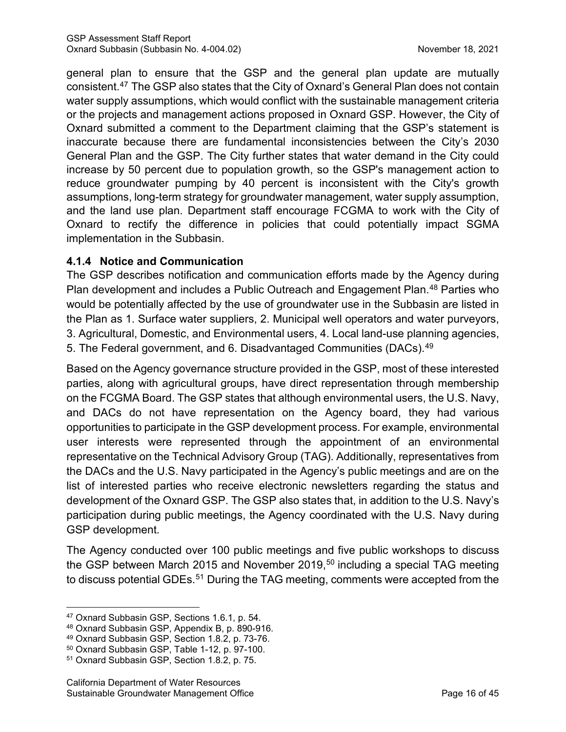general plan to ensure that the GSP and the general plan update are mutually consistent.[47](#page-21-0) The GSP also states that the City of Oxnard's General Plan does not contain water supply assumptions, which would conflict with the sustainable management criteria or the projects and management actions proposed in Oxnard GSP. However, the City of Oxnard submitted a comment to the Department claiming that the GSP's statement is inaccurate because there are fundamental inconsistencies between the City's 2030 General Plan and the GSP. The City further states that water demand in the City could increase by 50 percent due to population growth, so the GSP's management action to reduce groundwater pumping by 40 percent is inconsistent with the City's growth assumptions, long-term strategy for groundwater management, water supply assumption, and the land use plan. Department staff encourage FCGMA to work with the City of Oxnard to rectify the difference in policies that could potentially impact SGMA implementation in the Subbasin.

#### **4.1.4 Notice and Communication**

The GSP describes notification and communication efforts made by the Agency during Plan development and includes a Public Outreach and Engagement Plan. [48](#page-21-1) Parties who would be potentially affected by the use of groundwater use in the Subbasin are listed in the Plan as 1. Surface water suppliers, 2. Municipal well operators and water purveyors, 3. Agricultural, Domestic, and Environmental users, 4. Local land-use planning agencies, 5. The Federal government, and 6. Disadvantaged Communities (DACs).<sup>[49](#page-21-2)</sup>

Based on the Agency governance structure provided in the GSP, most of these interested parties, along with agricultural groups, have direct representation through membership on the FCGMA Board. The GSP states that although environmental users, the U.S. Navy, and DACs do not have representation on the Agency board, they had various opportunities to participate in the GSP development process. For example, environmental user interests were represented through the appointment of an environmental representative on the Technical Advisory Group (TAG). Additionally, representatives from the DACs and the U.S. Navy participated in the Agency's public meetings and are on the list of interested parties who receive electronic newsletters regarding the status and development of the Oxnard GSP. The GSP also states that, in addition to the U.S. Navy's participation during public meetings, the Agency coordinated with the U.S. Navy during GSP development.

The Agency conducted over 100 public meetings and five public workshops to discuss the GSP between March 2015 and November 2019, [50](#page-21-3) including a special TAG meeting to discuss potential GDEs.<sup>[51](#page-21-4)</sup> During the TAG meeting, comments were accepted from the

<span id="page-21-0"></span><sup>47</sup> Oxnard Subbasin GSP, Sections 1.6.1, p. 54.

<span id="page-21-1"></span><sup>48</sup> Oxnard Subbasin GSP, Appendix B, p. 890-916.

<span id="page-21-2"></span><sup>49</sup> Oxnard Subbasin GSP, Section 1.8.2, p. 73-76.

<span id="page-21-3"></span><sup>50</sup> Oxnard Subbasin GSP, Table 1-12, p. 97-100.

<span id="page-21-4"></span><sup>51</sup> Oxnard Subbasin GSP, Section 1.8.2, p. 75.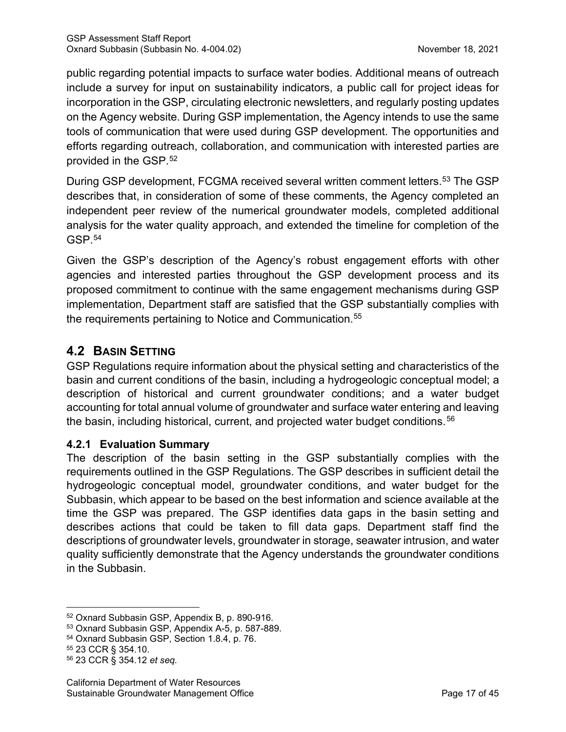public regarding potential impacts to surface water bodies. Additional means of outreach include a survey for input on sustainability indicators, a public call for project ideas for incorporation in the GSP, circulating electronic newsletters, and regularly posting updates on the Agency website. During GSP implementation, the Agency intends to use the same tools of communication that were used during GSP development. The opportunities and efforts regarding outreach, collaboration, and communication with interested parties are provided in the GSP. [52](#page-22-0)

During GSP development, FCGMA received several written comment letters.<sup>[53](#page-22-1)</sup> The GSP describes that, in consideration of some of these comments, the Agency completed an independent peer review of the numerical groundwater models, completed additional analysis for the water quality approach, and extended the timeline for completion of the GSP.[54](#page-22-2)

Given the GSP's description of the Agency's robust engagement efforts with other agencies and interested parties throughout the GSP development process and its proposed commitment to continue with the same engagement mechanisms during GSP implementation, Department staff are satisfied that the GSP substantially complies with the requirements pertaining to Notice and Communication.<sup>[55](#page-22-3)</sup>

# **4.2 BASIN SETTING**

GSP Regulations require information about the physical setting and characteristics of the basin and current conditions of the basin, including a hydrogeologic conceptual model; a description of historical and current groundwater conditions; and a water budget accounting for total annual volume of groundwater and surface water entering and leaving the basin, including historical, current, and projected water budget conditions.<sup>[56](#page-22-4)</sup>

# **4.2.1 Evaluation Summary**

The description of the basin setting in the GSP substantially complies with the requirements outlined in the GSP Regulations. The GSP describes in sufficient detail the hydrogeologic conceptual model, groundwater conditions, and water budget for the Subbasin, which appear to be based on the best information and science available at the time the GSP was prepared. The GSP identifies data gaps in the basin setting and describes actions that could be taken to fill data gaps. Department staff find the descriptions of groundwater levels, groundwater in storage, seawater intrusion, and water quality sufficiently demonstrate that the Agency understands the groundwater conditions in the Subbasin.

<span id="page-22-0"></span><sup>52</sup> Oxnard Subbasin GSP, Appendix B, p. 890-916.

<span id="page-22-1"></span><sup>53</sup> Oxnard Subbasin GSP, Appendix A-5, p. 587-889.

<span id="page-22-2"></span><sup>54</sup> Oxnard Subbasin GSP, Section 1.8.4, p. 76.

<span id="page-22-3"></span><sup>55</sup> 23 CCR § 354.10.

<span id="page-22-4"></span><sup>56</sup> 23 CCR § 354.12 *et seq.*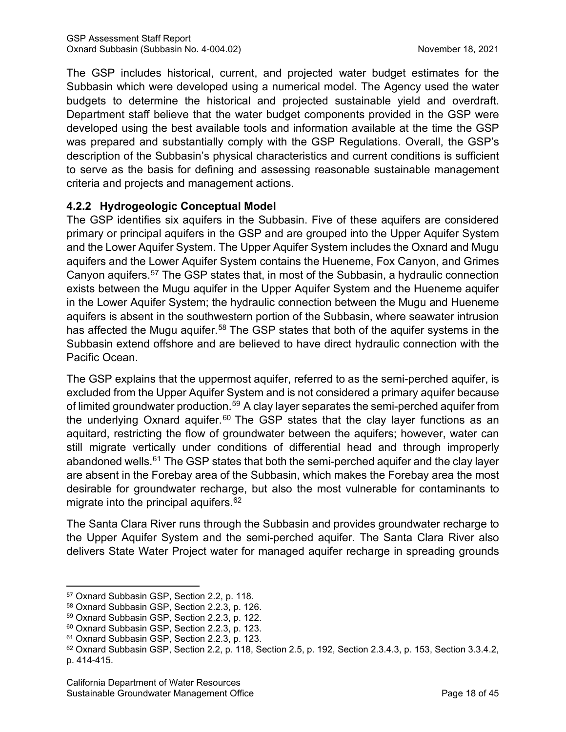The GSP includes historical, current, and projected water budget estimates for the Subbasin which were developed using a numerical model. The Agency used the water budgets to determine the historical and projected sustainable yield and overdraft. Department staff believe that the water budget components provided in the GSP were developed using the best available tools and information available at the time the GSP was prepared and substantially comply with the GSP Regulations. Overall, the GSP's description of the Subbasin's physical characteristics and current conditions is sufficient to serve as the basis for defining and assessing reasonable sustainable management criteria and projects and management actions.

## **4.2.2 Hydrogeologic Conceptual Model**

The GSP identifies six aquifers in the Subbasin. Five of these aquifers are considered primary or principal aquifers in the GSP and are grouped into the Upper Aquifer System and the Lower Aquifer System. The Upper Aquifer System includes the Oxnard and Mugu aquifers and the Lower Aquifer System contains the Hueneme, Fox Canyon, and Grimes Canyon aquifers.[57](#page-23-0) The GSP states that, in most of the Subbasin, a hydraulic connection exists between the Mugu aquifer in the Upper Aquifer System and the Hueneme aquifer in the Lower Aquifer System; the hydraulic connection between the Mugu and Hueneme aquifers is absent in the southwestern portion of the Subbasin, where seawater intrusion has affected the Mugu aquifer.<sup>[58](#page-23-1)</sup> The GSP states that both of the aquifer systems in the Subbasin extend offshore and are believed to have direct hydraulic connection with the Pacific Ocean.

The GSP explains that the uppermost aquifer, referred to as the semi-perched aquifer, is excluded from the Upper Aquifer System and is not considered a primary aquifer because of limited groundwater production.<sup>[59](#page-23-2)</sup> A clay layer separates the semi-perched aquifer from the underlying Oxnard aquifer. $60$  The GSP states that the clay layer functions as an aquitard, restricting the flow of groundwater between the aquifers; however, water can still migrate vertically under conditions of differential head and through improperly abandoned wells.<sup>[61](#page-23-4)</sup> The GSP states that both the semi-perched aquifer and the clay layer are absent in the Forebay area of the Subbasin, which makes the Forebay area the most desirable for groundwater recharge, but also the most vulnerable for contaminants to migrate into the principal aquifers.<sup>[62](#page-23-5)</sup>

The Santa Clara River runs through the Subbasin and provides groundwater recharge to the Upper Aquifer System and the semi-perched aquifer. The Santa Clara River also delivers State Water Project water for managed aquifer recharge in spreading grounds

<span id="page-23-0"></span><sup>57</sup> Oxnard Subbasin GSP, Section 2.2, p. 118.

<span id="page-23-1"></span><sup>58</sup> Oxnard Subbasin GSP, Section 2.2.3, p. 126.

<span id="page-23-2"></span><sup>59</sup> Oxnard Subbasin GSP, Section 2.2.3, p. 122.

<span id="page-23-3"></span><sup>60</sup> Oxnard Subbasin GSP, Section 2.2.3, p. 123.

<span id="page-23-4"></span><sup>61</sup> Oxnard Subbasin GSP, Section 2.2.3, p. 123.

<span id="page-23-5"></span> $62$  Oxnard Subbasin GSP, Section 2.2, p. 118, Section 2.5, p. 192, Section 2.3.4.3, p. 153, Section 3.3.4.2, p. 414-415.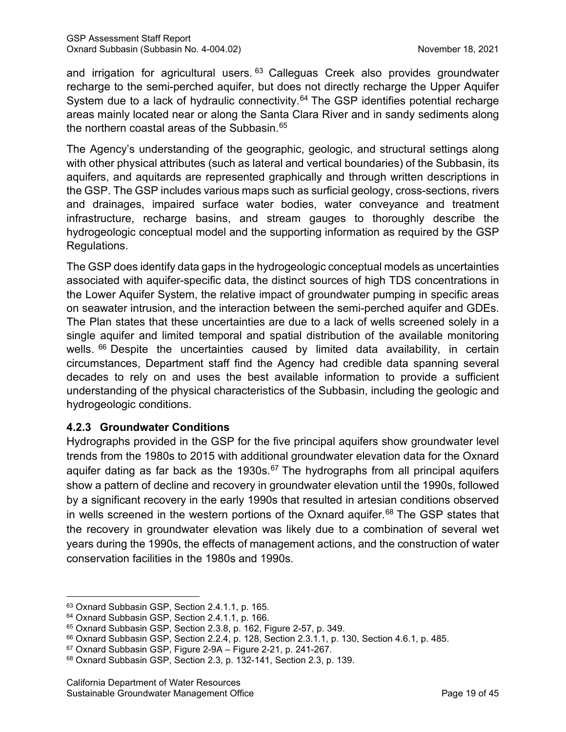and irrigation for agricultural users.  $63$  Calleguas Creek also provides groundwater recharge to the semi-perched aquifer, but does not directly recharge the Upper Aquifer System due to a lack of hydraulic connectivity.<sup>[64](#page-24-1)</sup> The GSP identifies potential recharge areas mainly located near or along the Santa Clara River and in sandy sediments along the northern coastal areas of the Subbasin. [65](#page-24-2)

The Agency's understanding of the geographic, geologic, and structural settings along with other physical attributes (such as lateral and vertical boundaries) of the Subbasin, its aquifers, and aquitards are represented graphically and through written descriptions in the GSP. The GSP includes various maps such as surficial geology, cross-sections, rivers and drainages, impaired surface water bodies, water conveyance and treatment infrastructure, recharge basins, and stream gauges to thoroughly describe the hydrogeologic conceptual model and the supporting information as required by the GSP Regulations.

The GSP does identify data gaps in the hydrogeologic conceptual models as uncertainties associated with aquifer-specific data, the distinct sources of high TDS concentrations in the Lower Aquifer System, the relative impact of groundwater pumping in specific areas on seawater intrusion, and the interaction between the semi-perched aquifer and GDEs. The Plan states that these uncertainties are due to a lack of wells screened solely in a single aquifer and limited temporal and spatial distribution of the available monitoring wells. <sup>[66](#page-24-3)</sup> Despite the uncertainties caused by limited data availability, in certain circumstances, Department staff find the Agency had credible data spanning several decades to rely on and uses the best available information to provide a sufficient understanding of the physical characteristics of the Subbasin, including the geologic and hydrogeologic conditions.

## **4.2.3 Groundwater Conditions**

Hydrographs provided in the GSP for the five principal aquifers show groundwater level trends from the 1980s to 2015 with additional groundwater elevation data for the Oxnard aquifer dating as far back as the 1930s. $67$  The hydrographs from all principal aquifers show a pattern of decline and recovery in groundwater elevation until the 1990s, followed by a significant recovery in the early 1990s that resulted in artesian conditions observed in wells screened in the western portions of the Oxnard aquifer. $68$  The GSP states that the recovery in groundwater elevation was likely due to a combination of several wet years during the 1990s, the effects of management actions, and the construction of water conservation facilities in the 1980s and 1990s.

<span id="page-24-0"></span><sup>63</sup> Oxnard Subbasin GSP, Section 2.4.1.1, p. 165.

<span id="page-24-1"></span><sup>64</sup> Oxnard Subbasin GSP, Section 2.4.1.1, p. 166.

<span id="page-24-2"></span><sup>65</sup> Oxnard Subbasin GSP, Section 2.3.8, p. 162, Figure 2-57, p. 349.

<span id="page-24-3"></span><sup>66</sup> Oxnard Subbasin GSP, Section 2.2.4, p. 128, Section 2.3.1.1, p. 130, Section 4.6.1, p. 485.

<span id="page-24-4"></span><sup>67</sup> Oxnard Subbasin GSP, Figure 2-9A – Figure 2-21, p. 241-267.

<span id="page-24-5"></span><sup>68</sup> Oxnard Subbasin GSP, Section 2.3, p. 132-141, Section 2.3, p. 139.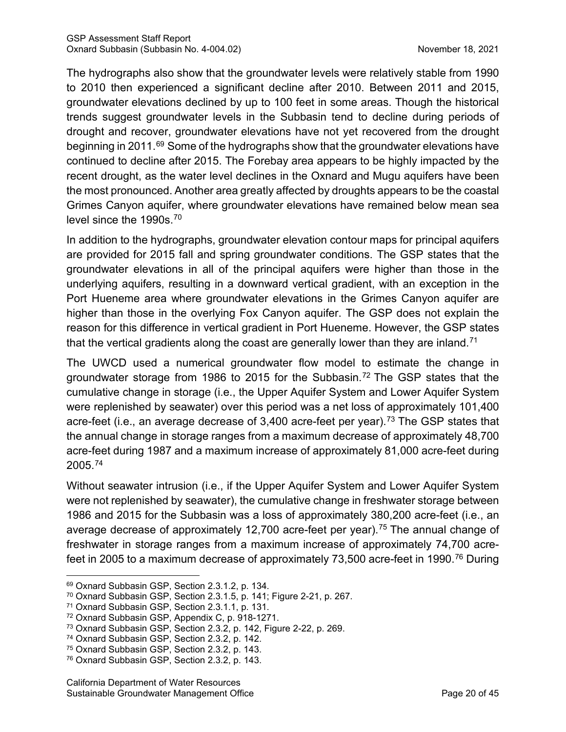The hydrographs also show that the groundwater levels were relatively stable from 1990 to 2010 then experienced a significant decline after 2010. Between 2011 and 2015, groundwater elevations declined by up to 100 feet in some areas. Though the historical trends suggest groundwater levels in the Subbasin tend to decline during periods of drought and recover, groundwater elevations have not yet recovered from the drought beginning in 2011.<sup>[69](#page-25-0)</sup> Some of the hydrographs show that the groundwater elevations have continued to decline after 2015. The Forebay area appears to be highly impacted by the recent drought, as the water level declines in the Oxnard and Mugu aquifers have been the most pronounced. Another area greatly affected by droughts appears to be the coastal Grimes Canyon aquifer, where groundwater elevations have remained below mean sea level since the 1990s. [70](#page-25-1)

In addition to the hydrographs, groundwater elevation contour maps for principal aquifers are provided for 2015 fall and spring groundwater conditions. The GSP states that the groundwater elevations in all of the principal aquifers were higher than those in the underlying aquifers, resulting in a downward vertical gradient, with an exception in the Port Hueneme area where groundwater elevations in the Grimes Canyon aquifer are higher than those in the overlying Fox Canyon aquifer. The GSP does not explain the reason for this difference in vertical gradient in Port Hueneme. However, the GSP states that the vertical gradients along the coast are generally lower than they are inland.<sup>[71](#page-25-2)</sup>

The UWCD used a numerical groundwater flow model to estimate the change in groundwater storage from 1986 to 2015 for the Subbasin. [72](#page-25-3) The GSP states that the cumulative change in storage (i.e., the Upper Aquifer System and Lower Aquifer System were replenished by seawater) over this period was a net loss of approximately 101,400 acre-feet (i.e., an average decrease of 3,400 acre-feet per year).<sup>[73](#page-25-4)</sup> The GSP states that the annual change in storage ranges from a maximum decrease of approximately 48,700 acre-feet during 1987 and a maximum increase of approximately 81,000 acre-feet during 2005.[74](#page-25-5)

Without seawater intrusion (i.e., if the Upper Aquifer System and Lower Aquifer System were not replenished by seawater), the cumulative change in freshwater storage between 1986 and 2015 for the Subbasin was a loss of approximately 380,200 acre-feet (i.e., an average decrease of approximately 12,700 acre-feet per year).<sup>[75](#page-25-6)</sup> The annual change of freshwater in storage ranges from a maximum increase of approximately 74,700 acre-feet in 2005 to a maximum decrease of approximately 73,500 acre-feet in 1990.<sup>[76](#page-25-7)</sup> During

<span id="page-25-0"></span><sup>69</sup> Oxnard Subbasin GSP, Section 2.3.1.2, p. 134.

<span id="page-25-1"></span><sup>70</sup> Oxnard Subbasin GSP, Section 2.3.1.5, p. 141; Figure 2-21, p. 267.

<span id="page-25-2"></span><sup>71</sup> Oxnard Subbasin GSP, Section 2.3.1.1, p. 131.

<span id="page-25-3"></span><sup>72</sup> Oxnard Subbasin GSP, Appendix C, p. 918-1271.

<span id="page-25-4"></span><sup>73</sup> Oxnard Subbasin GSP, Section 2.3.2, p. 142, Figure 2-22, p. 269.

<span id="page-25-5"></span><sup>74</sup> Oxnard Subbasin GSP, Section 2.3.2, p. 142.

<span id="page-25-6"></span><sup>75</sup> Oxnard Subbasin GSP, Section 2.3.2, p. 143.

<span id="page-25-7"></span><sup>76</sup> Oxnard Subbasin GSP, Section 2.3.2, p. 143.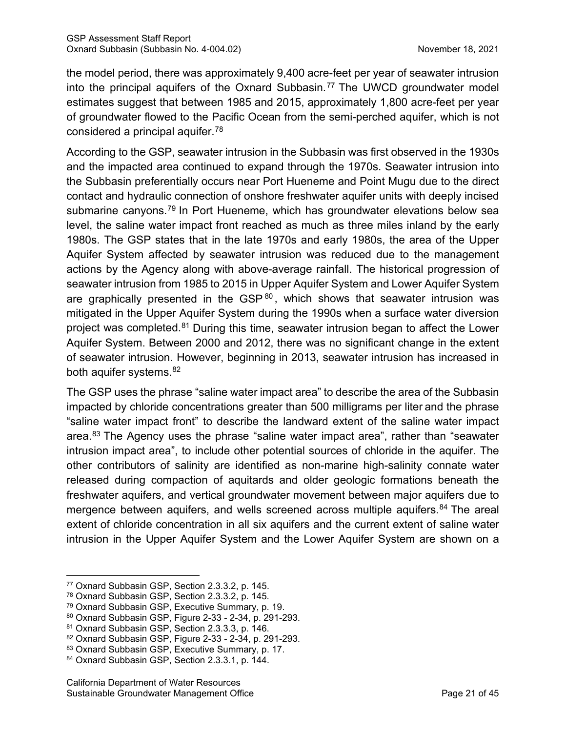the model period, there was approximately 9,400 acre-feet per year of seawater intrusion into the principal aquifers of the Oxnard Subbasin.<sup>[77](#page-26-0)</sup> The UWCD groundwater model estimates suggest that between 1985 and 2015, approximately 1,800 acre-feet per year of groundwater flowed to the Pacific Ocean from the semi-perched aquifer, which is not considered a principal aquifer. [78](#page-26-1)

According to the GSP, seawater intrusion in the Subbasin was first observed in the 1930s and the impacted area continued to expand through the 1970s. Seawater intrusion into the Subbasin preferentially occurs near Port Hueneme and Point Mugu due to the direct contact and hydraulic connection of onshore freshwater aquifer units with deeply incised submarine canyons. [79](#page-26-2) In Port Hueneme, which has groundwater elevations below sea level, the saline water impact front reached as much as three miles inland by the early 1980s. The GSP states that in the late 1970s and early 1980s, the area of the Upper Aquifer System affected by seawater intrusion was reduced due to the management actions by the Agency along with above-average rainfall. The historical progression of seawater intrusion from 1985 to 2015 in Upper Aquifer System and Lower Aquifer System are graphically presented in the  $GSP^{80}$  $GSP^{80}$  $GSP^{80}$ , which shows that seawater intrusion was mitigated in the Upper Aquifer System during the 1990s when a surface water diversion project was completed.<sup>[81](#page-26-4)</sup> During this time, seawater intrusion began to affect the Lower Aquifer System. Between 2000 and 2012, there was no significant change in the extent of seawater intrusion. However, beginning in 2013, seawater intrusion has increased in both aquifer systems.[82](#page-26-5)

The GSP uses the phrase "saline water impact area" to describe the area of the Subbasin impacted by chloride concentrations greater than 500 milligrams per liter and the phrase "saline water impact front" to describe the landward extent of the saline water impact area.<sup>[83](#page-26-6)</sup> The Agency uses the phrase "saline water impact area", rather than "seawater intrusion impact area", to include other potential sources of chloride in the aquifer. The other contributors of salinity are identified as non-marine high-salinity connate water released during compaction of aquitards and older geologic formations beneath the freshwater aquifers, and vertical groundwater movement between major aquifers due to mergence between aquifers, and wells screened across multiple aquifers. [84](#page-26-7) The areal extent of chloride concentration in all six aquifers and the current extent of saline water intrusion in the Upper Aquifer System and the Lower Aquifer System are shown on a

<span id="page-26-0"></span><sup>77</sup> Oxnard Subbasin GSP, Section 2.3.3.2, p. 145.

<span id="page-26-1"></span><sup>78</sup> Oxnard Subbasin GSP, Section 2.3.3.2, p. 145.

<span id="page-26-2"></span><sup>79</sup> Oxnard Subbasin GSP, Executive Summary, p. 19.

<span id="page-26-3"></span><sup>80</sup> Oxnard Subbasin GSP, Figure 2-33 - 2-34, p. 291-293.

<span id="page-26-4"></span><sup>81</sup> Oxnard Subbasin GSP, Section 2.3.3.3, p. 146.

<span id="page-26-5"></span><sup>82</sup> Oxnard Subbasin GSP, Figure 2-33 - 2-34, p. 291-293.

<span id="page-26-6"></span><sup>83</sup> Oxnard Subbasin GSP, Executive Summary, p. 17.

<span id="page-26-7"></span><sup>84</sup> Oxnard Subbasin GSP, Section 2.3.3.1, p. 144.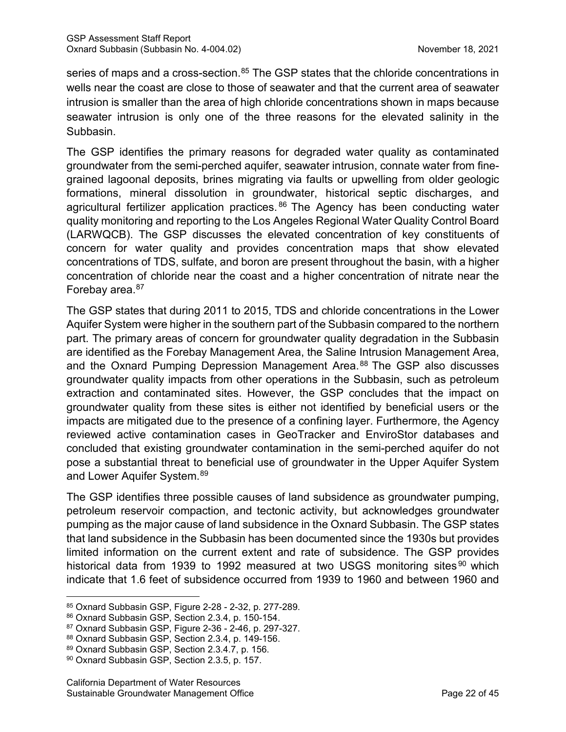series of maps and a cross-section.<sup>[85](#page-27-0)</sup> The GSP states that the chloride concentrations in wells near the coast are close to those of seawater and that the current area of seawater intrusion is smaller than the area of high chloride concentrations shown in maps because seawater intrusion is only one of the three reasons for the elevated salinity in the Subbasin.

The GSP identifies the primary reasons for degraded water quality as contaminated groundwater from the semi-perched aquifer, seawater intrusion, connate water from finegrained lagoonal deposits, brines migrating via faults or upwelling from older geologic formations, mineral dissolution in groundwater, historical septic discharges, and agricultural fertilizer application practices.<sup>[86](#page-27-1)</sup> The Agency has been conducting water quality monitoring and reporting to the Los Angeles Regional Water Quality Control Board (LARWQCB). The GSP discusses the elevated concentration of key constituents of concern for water quality and provides concentration maps that show elevated concentrations of TDS, sulfate, and boron are present throughout the basin, with a higher concentration of chloride near the coast and a higher concentration of nitrate near the Forebay area.<sup>[87](#page-27-2)</sup>

The GSP states that during 2011 to 2015, TDS and chloride concentrations in the Lower Aquifer System were higher in the southern part of the Subbasin compared to the northern part. The primary areas of concern for groundwater quality degradation in the Subbasin are identified as the Forebay Management Area, the Saline Intrusion Management Area, and the Oxnard Pumping Depression Management Area.<sup>[88](#page-27-3)</sup> The GSP also discusses groundwater quality impacts from other operations in the Subbasin, such as petroleum extraction and contaminated sites. However, the GSP concludes that the impact on groundwater quality from these sites is either not identified by beneficial users or the impacts are mitigated due to the presence of a confining layer. Furthermore, the Agency reviewed active contamination cases in GeoTracker and EnviroStor databases and concluded that existing groundwater contamination in the semi-perched aquifer do not pose a substantial threat to beneficial use of groundwater in the Upper Aquifer System and Lower Aquifer System. [89](#page-27-4)

The GSP identifies three possible causes of land subsidence as groundwater pumping, petroleum reservoir compaction, and tectonic activity, but acknowledges groundwater pumping as the major cause of land subsidence in the Oxnard Subbasin. The GSP states that land subsidence in the Subbasin has been documented since the 1930s but provides limited information on the current extent and rate of subsidence. The GSP provides historical data from 1939 to 1992 measured at two USGS monitoring sites <sup>[90](#page-27-5)</sup> which indicate that 1.6 feet of subsidence occurred from 1939 to 1960 and between 1960 and

<span id="page-27-0"></span><sup>85</sup> Oxnard Subbasin GSP, Figure 2-28 - 2-32, p. 277-289.

<span id="page-27-1"></span><sup>86</sup> Oxnard Subbasin GSP, Section 2.3.4, p. 150-154.

<span id="page-27-2"></span><sup>87</sup> Oxnard Subbasin GSP, Figure 2-36 - 2-46, p. 297-327.

<span id="page-27-3"></span><sup>88</sup> Oxnard Subbasin GSP, Section 2.3.4, p. 149-156.

<span id="page-27-4"></span><sup>89</sup> Oxnard Subbasin GSP, Section 2.3.4.7, p. 156.

<span id="page-27-5"></span><sup>90</sup> Oxnard Subbasin GSP, Section 2.3.5, p. 157.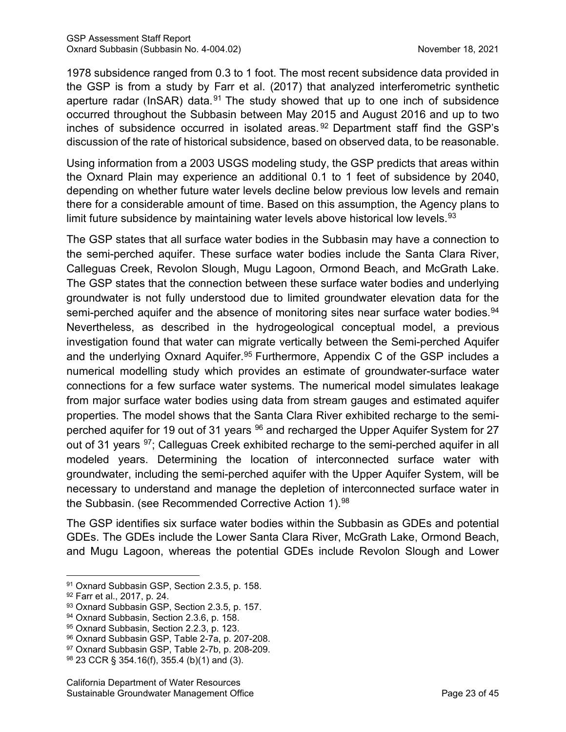1978 subsidence ranged from 0.3 to 1 foot. The most recent subsidence data provided in the GSP is from a study by Farr et al. (2017) that analyzed interferometric synthetic aperture radar (InSAR) data.<sup>[91](#page-28-0)</sup> The study showed that up to one inch of subsidence occurred throughout the Subbasin between May 2015 and August 2016 and up to two inches of subsidence occurred in isolated areas. [92](#page-28-1) Department staff find the GSP's discussion of the rate of historical subsidence, based on observed data, to be reasonable.

Using information from a 2003 USGS modeling study, the GSP predicts that areas within the Oxnard Plain may experience an additional 0.1 to 1 feet of subsidence by 2040, depending on whether future water levels decline below previous low levels and remain there for a considerable amount of time. Based on this assumption, the Agency plans to limit future subsidence by maintaining water levels above historical low levels.  $93$ 

The GSP states that all surface water bodies in the Subbasin may have a connection to the semi-perched aquifer. These surface water bodies include the Santa Clara River, Calleguas Creek, Revolon Slough, Mugu Lagoon, Ormond Beach, and McGrath Lake. The GSP states that the connection between these surface water bodies and underlying groundwater is not fully understood due to limited groundwater elevation data for the semi-perched aquifer and the absence of monitoring sites near surface water bodies.<sup>[94](#page-28-3)</sup> Nevertheless, as described in the hydrogeological conceptual model, a previous investigation found that water can migrate vertically between the Semi-perched Aquifer and the underlying Oxnard Aquifer.<sup>[95](#page-28-4)</sup> Furthermore, Appendix C of the GSP includes a numerical modelling study which provides an estimate of groundwater-surface water connections for a few surface water systems. The numerical model simulates leakage from major surface water bodies using data from stream gauges and estimated aquifer properties. The model shows that the Santa Clara River exhibited recharge to the semi-perched aquifer for 19 out of 31 years <sup>[96](#page-28-5)</sup> and recharged the Upper Aquifer System for 27 out of 31 years <sup>[97](#page-28-6)</sup>; Calleguas Creek exhibited recharge to the semi-perched aquifer in all modeled years. Determining the location of interconnected surface water with groundwater, including the semi-perched aquifer with the Upper Aquifer System, will be necessary to understand and manage the depletion of interconnected surface water in the Subbasin. (see Recommended Corrective Action 1). [98](#page-28-7)

The GSP identifies six surface water bodies within the Subbasin as GDEs and potential GDEs. The GDEs include the Lower Santa Clara River, McGrath Lake, Ormond Beach, and Mugu Lagoon, whereas the potential GDEs include Revolon Slough and Lower

<span id="page-28-0"></span><sup>91</sup> Oxnard Subbasin GSP, Section 2.3.5, p. 158.

<span id="page-28-1"></span><sup>92</sup> Farr et al., 2017, p. 24.

<span id="page-28-2"></span><sup>93</sup> Oxnard Subbasin GSP, Section 2.3.5, p. 157.

<span id="page-28-3"></span><sup>94</sup> Oxnard Subbasin, Section 2.3.6, p. 158.

<span id="page-28-4"></span><sup>95</sup> Oxnard Subbasin, Section 2.2.3, p. 123.

<span id="page-28-5"></span><sup>96</sup> Oxnard Subbasin GSP, Table 2-7a, p. 207-208.

<span id="page-28-6"></span><sup>97</sup> Oxnard Subbasin GSP, Table 2-7b, p. 208-209.

<span id="page-28-7"></span><sup>98</sup> 23 CCR § 354.16(f), 355.4 (b)(1) and (3).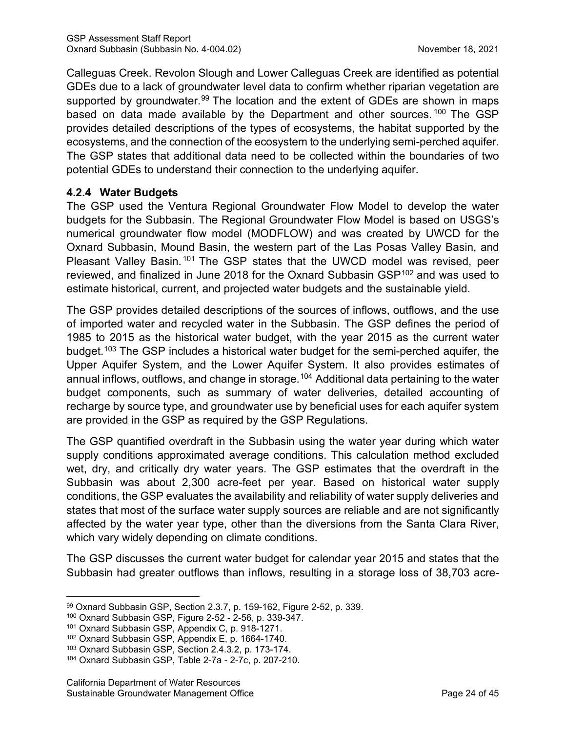Calleguas Creek. Revolon Slough and Lower Calleguas Creek are identified as potential GDEs due to a lack of groundwater level data to confirm whether riparian vegetation are supported by groundwater.<sup>[99](#page-29-0)</sup> The location and the extent of GDEs are shown in maps based on data made available by the Department and other sources.<sup>[100](#page-29-1)</sup> The GSP provides detailed descriptions of the types of ecosystems, the habitat supported by the ecosystems, and the connection of the ecosystem to the underlying semi-perched aquifer. The GSP states that additional data need to be collected within the boundaries of two potential GDEs to understand their connection to the underlying aquifer.

#### **4.2.4 Water Budgets**

The GSP used the Ventura Regional Groundwater Flow Model to develop the water budgets for the Subbasin. The Regional Groundwater Flow Model is based on USGS's numerical groundwater flow model (MODFLOW) and was created by UWCD for the Oxnard Subbasin, Mound Basin, the western part of the Las Posas Valley Basin, and Pleasant Valley Basin.<sup>[101](#page-29-2)</sup> The GSP states that the UWCD model was revised, peer reviewed, and finalized in June 2018 for the Oxnard Subbasin GSP<sup>[102](#page-29-3)</sup> and was used to estimate historical, current, and projected water budgets and the sustainable yield.

The GSP provides detailed descriptions of the sources of inflows, outflows, and the use of imported water and recycled water in the Subbasin. The GSP defines the period of 1985 to 2015 as the historical water budget, with the year 2015 as the current water budget.[103](#page-29-4) The GSP includes a historical water budget for the semi-perched aquifer, the Upper Aquifer System, and the Lower Aquifer System. It also provides estimates of annual inflows, outflows, and change in storage.<sup>[104](#page-29-5)</sup> Additional data pertaining to the water budget components, such as summary of water deliveries, detailed accounting of recharge by source type, and groundwater use by beneficial uses for each aquifer system are provided in the GSP as required by the GSP Regulations.

The GSP quantified overdraft in the Subbasin using the water year during which water supply conditions approximated average conditions. This calculation method excluded wet, dry, and critically dry water years. The GSP estimates that the overdraft in the Subbasin was about 2,300 acre-feet per year. Based on historical water supply conditions, the GSP evaluates the availability and reliability of water supply deliveries and states that most of the surface water supply sources are reliable and are not significantly affected by the water year type, other than the diversions from the Santa Clara River, which vary widely depending on climate conditions.

The GSP discusses the current water budget for calendar year 2015 and states that the Subbasin had greater outflows than inflows, resulting in a storage loss of 38,703 acre-

<span id="page-29-0"></span><sup>99</sup> Oxnard Subbasin GSP, Section 2.3.7, p. 159-162, Figure 2-52, p. 339.

<span id="page-29-1"></span><sup>100</sup> Oxnard Subbasin GSP, Figure 2-52 - 2-56, p. 339-347.

<span id="page-29-2"></span><sup>101</sup> Oxnard Subbasin GSP, Appendix C, p. 918-1271.

<span id="page-29-3"></span><sup>102</sup> Oxnard Subbasin GSP, Appendix E, p. 1664-1740.

<span id="page-29-4"></span><sup>103</sup> Oxnard Subbasin GSP, Section 2.4.3.2, p. 173-174.

<span id="page-29-5"></span><sup>104</sup> Oxnard Subbasin GSP, Table 2-7a - 2-7c, p. 207-210.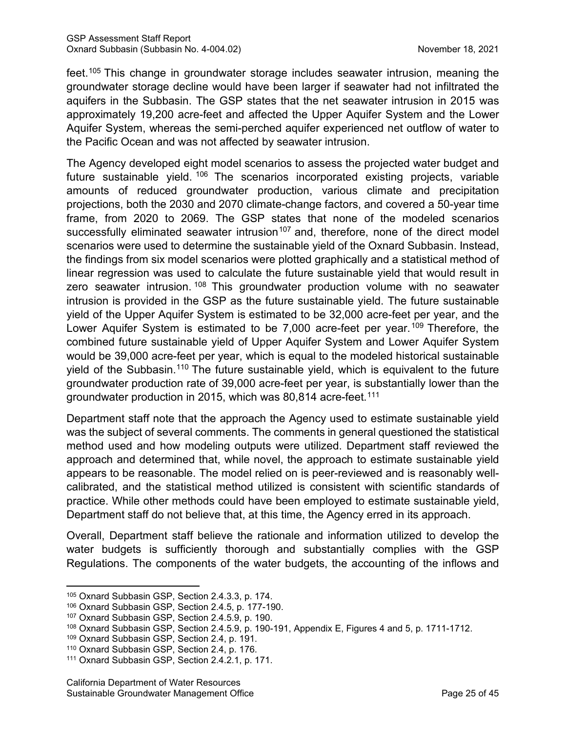feet.[105](#page-30-0) This change in groundwater storage includes seawater intrusion, meaning the groundwater storage decline would have been larger if seawater had not infiltrated the aquifers in the Subbasin. The GSP states that the net seawater intrusion in 2015 was approximately 19,200 acre-feet and affected the Upper Aquifer System and the Lower Aquifer System, whereas the semi-perched aquifer experienced net outflow of water to the Pacific Ocean and was not affected by seawater intrusion.

The Agency developed eight model scenarios to assess the projected water budget and future sustainable yield. [106](#page-30-1) The scenarios incorporated existing projects, variable amounts of reduced groundwater production, various climate and precipitation projections, both the 2030 and 2070 climate-change factors, and covered a 50-year time frame, from 2020 to 2069. The GSP states that none of the modeled scenarios successfully eliminated seawater intrusion<sup>[107](#page-30-2)</sup> and, therefore, none of the direct model scenarios were used to determine the sustainable yield of the Oxnard Subbasin. Instead, the findings from six model scenarios were plotted graphically and a statistical method of linear regression was used to calculate the future sustainable yield that would result in zero seawater intrusion.<sup>[108](#page-30-3)</sup> This groundwater production volume with no seawater intrusion is provided in the GSP as the future sustainable yield. The future sustainable yield of the Upper Aquifer System is estimated to be 32,000 acre-feet per year, and the Lower Aquifer System is estimated to be 7,000 acre-feet per year.<sup>[109](#page-30-4)</sup> Therefore, the combined future sustainable yield of Upper Aquifer System and Lower Aquifer System would be 39,000 acre-feet per year, which is equal to the modeled historical sustainable yield of the Subbasin.[110](#page-30-5) The future sustainable yield, which is equivalent to the future groundwater production rate of 39,000 acre-feet per year, is substantially lower than the groundwater production in 2015, which was 80,814 acre-feet. [111](#page-30-6)

Department staff note that the approach the Agency used to estimate sustainable yield was the subject of several comments. The comments in general questioned the statistical method used and how modeling outputs were utilized. Department staff reviewed the approach and determined that, while novel, the approach to estimate sustainable yield appears to be reasonable. The model relied on is peer-reviewed and is reasonably wellcalibrated, and the statistical method utilized is consistent with scientific standards of practice. While other methods could have been employed to estimate sustainable yield, Department staff do not believe that, at this time, the Agency erred in its approach.

Overall, Department staff believe the rationale and information utilized to develop the water budgets is sufficiently thorough and substantially complies with the GSP Regulations. The components of the water budgets, the accounting of the inflows and

<span id="page-30-0"></span><sup>105</sup> Oxnard Subbasin GSP, Section 2.4.3.3, p. 174.

<span id="page-30-1"></span><sup>106</sup> Oxnard Subbasin GSP, Section 2.4.5, p. 177-190.

<span id="page-30-2"></span><sup>107</sup> Oxnard Subbasin GSP, Section 2.4.5.9, p. 190.

<span id="page-30-3"></span><sup>108</sup> Oxnard Subbasin GSP, Section 2.4.5.9, p. 190-191, Appendix E, Figures 4 and 5, p. 1711-1712.

<span id="page-30-4"></span><sup>109</sup> Oxnard Subbasin GSP, Section 2.4, p. 191.

<span id="page-30-5"></span><sup>110</sup> Oxnard Subbasin GSP, Section 2.4, p. 176.

<span id="page-30-6"></span><sup>111</sup> Oxnard Subbasin GSP, Section 2.4.2.1, p. 171.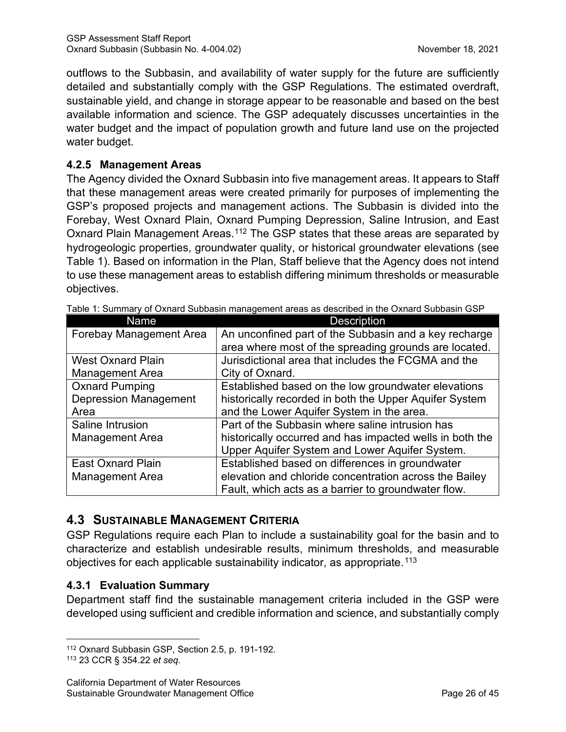outflows to the Subbasin, and availability of water supply for the future are sufficiently detailed and substantially comply with the GSP Regulations. The estimated overdraft, sustainable yield, and change in storage appear to be reasonable and based on the best available information and science. The GSP adequately discusses uncertainties in the water budget and the impact of population growth and future land use on the projected water budget.

#### **4.2.5 Management Areas**

The Agency divided the Oxnard Subbasin into five management areas. It appears to Staff that these management areas were created primarily for purposes of implementing the GSP's proposed projects and management actions. The Subbasin is divided into the Forebay, West Oxnard Plain, Oxnard Pumping Depression, Saline Intrusion, and East Oxnard Plain Management Areas.<sup>[112](#page-31-1)</sup> The GSP states that these areas are separated by hydrogeologic properties, groundwater quality, or historical groundwater elevations (see [Table 1\)](#page-31-0). Based on information in the Plan, Staff believe that the Agency does not intend to use these management areas to establish differing minimum thresholds or measurable objectives.

| Name                           | <b>Description</b>                                       |
|--------------------------------|----------------------------------------------------------|
| <b>Forebay Management Area</b> | An unconfined part of the Subbasin and a key recharge    |
|                                | area where most of the spreading grounds are located.    |
| <b>West Oxnard Plain</b>       | Jurisdictional area that includes the FCGMA and the      |
| <b>Management Area</b>         | City of Oxnard.                                          |
| <b>Oxnard Pumping</b>          | Established based on the low groundwater elevations      |
| <b>Depression Management</b>   | historically recorded in both the Upper Aquifer System   |
| Area                           | and the Lower Aquifer System in the area.                |
| Saline Intrusion               | Part of the Subbasin where saline intrusion has          |
| <b>Management Area</b>         | historically occurred and has impacted wells in both the |
|                                | Upper Aquifer System and Lower Aquifer System.           |
| <b>East Oxnard Plain</b>       | Established based on differences in groundwater          |
| <b>Management Area</b>         | elevation and chloride concentration across the Bailey   |
|                                | Fault, which acts as a barrier to groundwater flow.      |

<span id="page-31-0"></span>Table 1: Summary of Oxnard Subbasin management areas as described in the Oxnard Subbasin GSP

# **4.3 SUSTAINABLE MANAGEMENT CRITERIA**

GSP Regulations require each Plan to include a sustainability goal for the basin and to characterize and establish undesirable results, minimum thresholds, and measurable objectives for each applicable sustainability indicator, as appropriate.<sup>[113](#page-31-2)</sup>

# **4.3.1 Evaluation Summary**

Department staff find the sustainable management criteria included in the GSP were developed using sufficient and credible information and science, and substantially comply

<span id="page-31-1"></span><sup>112</sup> Oxnard Subbasin GSP, Section 2.5, p. 191-192. 113 23 CCR § 354.22 *et seq*.

<span id="page-31-2"></span>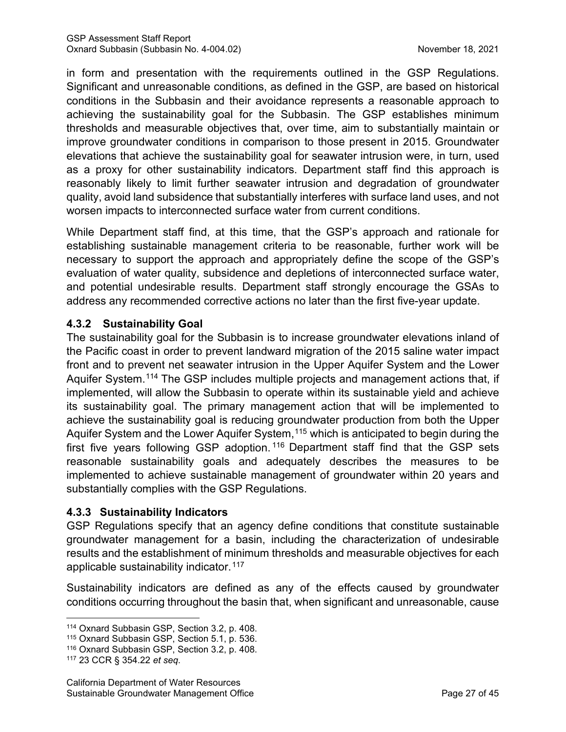in form and presentation with the requirements outlined in the GSP Regulations. Significant and unreasonable conditions, as defined in the GSP, are based on historical conditions in the Subbasin and their avoidance represents a reasonable approach to achieving the sustainability goal for the Subbasin. The GSP establishes minimum thresholds and measurable objectives that, over time, aim to substantially maintain or improve groundwater conditions in comparison to those present in 2015. Groundwater elevations that achieve the sustainability goal for seawater intrusion were, in turn, used as a proxy for other sustainability indicators. Department staff find this approach is reasonably likely to limit further seawater intrusion and degradation of groundwater quality, avoid land subsidence that substantially interferes with surface land uses, and not worsen impacts to interconnected surface water from current conditions.

While Department staff find, at this time, that the GSP's approach and rationale for establishing sustainable management criteria to be reasonable, further work will be necessary to support the approach and appropriately define the scope of the GSP's evaluation of water quality, subsidence and depletions of interconnected surface water, and potential undesirable results. Department staff strongly encourage the GSAs to address any recommended corrective actions no later than the first five-year update.

#### **4.3.2 Sustainability Goal**

The sustainability goal for the Subbasin is to increase groundwater elevations inland of the Pacific coast in order to prevent landward migration of the 2015 saline water impact front and to prevent net seawater intrusion in the Upper Aquifer System and the Lower Aquifer System.<sup>[114](#page-32-0)</sup> The GSP includes multiple projects and management actions that, if implemented, will allow the Subbasin to operate within its sustainable yield and achieve its sustainability goal. The primary management action that will be implemented to achieve the sustainability goal is reducing groundwater production from both the Upper Aquifer System and the Lower Aquifer System, [115](#page-32-1) which is anticipated to begin during the first five years following GSP adoption. [116](#page-32-2) Department staff find that the GSP sets reasonable sustainability goals and adequately describes the measures to be implemented to achieve sustainable management of groundwater within 20 years and substantially complies with the GSP Regulations.

#### **4.3.3 Sustainability Indicators**

GSP Regulations specify that an agency define conditions that constitute sustainable groundwater management for a basin, including the characterization of undesirable results and the establishment of minimum thresholds and measurable objectives for each applicable sustainability indicator.<sup>[117](#page-32-3)</sup>

Sustainability indicators are defined as any of the effects caused by groundwater conditions occurring throughout the basin that, when significant and unreasonable, cause

<span id="page-32-0"></span><sup>114</sup> Oxnard Subbasin GSP, Section 3.2, p. 408.

<span id="page-32-1"></span><sup>115</sup> Oxnard Subbasin GSP, Section 5.1, p. 536.

<span id="page-32-2"></span><sup>116</sup> Oxnard Subbasin GSP, Section 3.2, p. 408.

<span id="page-32-3"></span><sup>117</sup> 23 CCR § 354.22 *et seq*.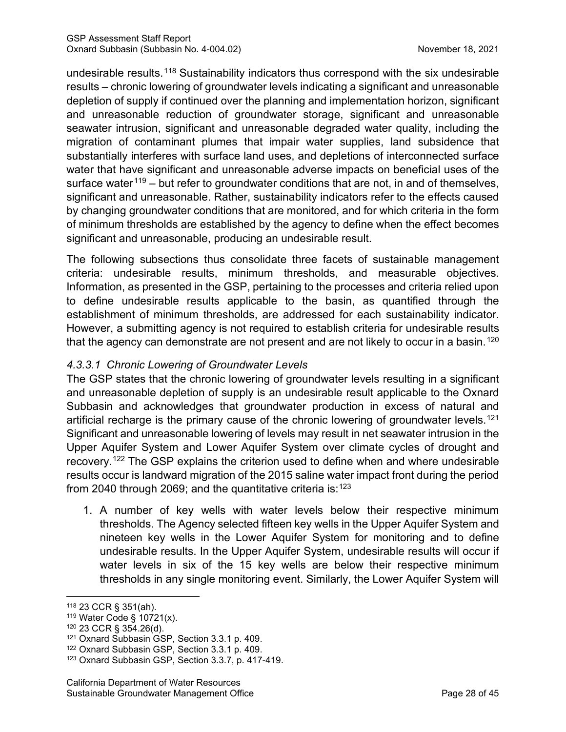undesirable results.<sup>[118](#page-33-0)</sup> Sustainability indicators thus correspond with the six undesirable results – chronic lowering of groundwater levels indicating a significant and unreasonable depletion of supply if continued over the planning and implementation horizon, significant and unreasonable reduction of groundwater storage, significant and unreasonable seawater intrusion, significant and unreasonable degraded water quality, including the migration of contaminant plumes that impair water supplies, land subsidence that substantially interferes with surface land uses, and depletions of interconnected surface water that have significant and unreasonable adverse impacts on beneficial uses of the surface water<sup>[119](#page-33-1)</sup> – but refer to groundwater conditions that are not, in and of themselves, significant and unreasonable. Rather, sustainability indicators refer to the effects caused by changing groundwater conditions that are monitored, and for which criteria in the form of minimum thresholds are established by the agency to define when the effect becomes significant and unreasonable, producing an undesirable result.

The following subsections thus consolidate three facets of sustainable management criteria: undesirable results, minimum thresholds, and measurable objectives. Information, as presented in the GSP, pertaining to the processes and criteria relied upon to define undesirable results applicable to the basin, as quantified through the establishment of minimum thresholds, are addressed for each sustainability indicator. However, a submitting agency is not required to establish criteria for undesirable results that the agency can demonstrate are not present and are not likely to occur in a basin.<sup>[120](#page-33-2)</sup>

# *4.3.3.1 Chronic Lowering of Groundwater Levels*

The GSP states that the chronic lowering of groundwater levels resulting in a significant and unreasonable depletion of supply is an undesirable result applicable to the Oxnard Subbasin and acknowledges that groundwater production in excess of natural and artificial recharge is the primary cause of the chronic lowering of groundwater levels.<sup>[121](#page-33-3)</sup> Significant and unreasonable lowering of levels may result in net seawater intrusion in the Upper Aquifer System and Lower Aquifer System over climate cycles of drought and recovery.[122](#page-33-4) The GSP explains the criterion used to define when and where undesirable results occur is landward migration of the 2015 saline water impact front during the period from 2040 through 2069; and the quantitative criteria is: $^{123}$  $^{123}$  $^{123}$ 

1. A number of key wells with water levels below their respective minimum thresholds. The Agency selected fifteen key wells in the Upper Aquifer System and nineteen key wells in the Lower Aquifer System for monitoring and to define undesirable results. In the Upper Aquifer System, undesirable results will occur if water levels in six of the 15 key wells are below their respective minimum thresholds in any single monitoring event. Similarly, the Lower Aquifer System will

<span id="page-33-0"></span><sup>118</sup> 23 CCR § 351(ah).

<span id="page-33-1"></span><sup>119</sup> Water Code § 10721(x).

<span id="page-33-2"></span><sup>120</sup> 23 CCR § 354.26(d).

<span id="page-33-3"></span><sup>121</sup> Oxnard Subbasin GSP, Section 3.3.1 p. 409.

<span id="page-33-4"></span><sup>122</sup> Oxnard Subbasin GSP, Section 3.3.1 p. 409.

<span id="page-33-5"></span><sup>123</sup> Oxnard Subbasin GSP, Section 3.3.7, p. 417-419.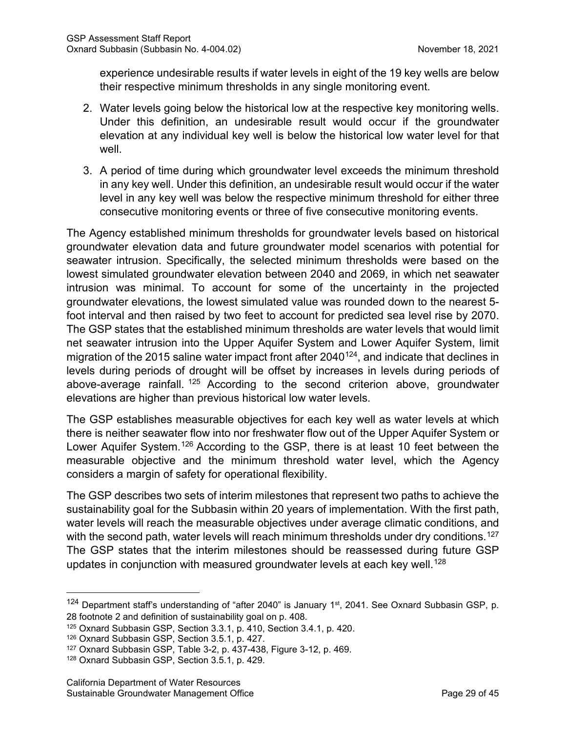experience undesirable results if water levels in eight of the 19 key wells are below their respective minimum thresholds in any single monitoring event.

- 2. Water levels going below the historical low at the respective key monitoring wells. Under this definition, an undesirable result would occur if the groundwater elevation at any individual key well is below the historical low water level for that well.
- 3. A period of time during which groundwater level exceeds the minimum threshold in any key well. Under this definition, an undesirable result would occur if the water level in any key well was below the respective minimum threshold for either three consecutive monitoring events or three of five consecutive monitoring events.

The Agency established minimum thresholds for groundwater levels based on historical groundwater elevation data and future groundwater model scenarios with potential for seawater intrusion. Specifically, the selected minimum thresholds were based on the lowest simulated groundwater elevation between 2040 and 2069, in which net seawater intrusion was minimal. To account for some of the uncertainty in the projected groundwater elevations, the lowest simulated value was rounded down to the nearest 5 foot interval and then raised by two feet to account for predicted sea level rise by 2070. The GSP states that the established minimum thresholds are water levels that would limit net seawater intrusion into the Upper Aquifer System and Lower Aquifer System, limit migration of the 2015 saline water impact front after  $2040^{124}$ , and indicate that declines in levels during periods of drought will be offset by increases in levels during periods of above-average rainfall. [125](#page-34-1) According to the second criterion above, groundwater elevations are higher than previous historical low water levels.

The GSP establishes measurable objectives for each key well as water levels at which there is neither seawater flow into nor freshwater flow out of the Upper Aquifer System or Lower Aquifer System.<sup>[126](#page-34-2)</sup> According to the GSP, there is at least 10 feet between the measurable objective and the minimum threshold water level, which the Agency considers a margin of safety for operational flexibility.

The GSP describes two sets of interim milestones that represent two paths to achieve the sustainability goal for the Subbasin within 20 years of implementation. With the first path, water levels will reach the measurable objectives under average climatic conditions, and with the second path, water levels will reach minimum thresholds under dry conditions.<sup>[127](#page-34-3)</sup> The GSP states that the interim milestones should be reassessed during future GSP updates in conjunction with measured groundwater levels at each key well.<sup>[128](#page-34-4)</sup>

<span id="page-34-0"></span> $124$  Department staff's understanding of "after 2040" is January 1<sup>st</sup>, 2041. See Oxnard Subbasin GSP, p. 28 footnote 2 and definition of sustainability goal on p. 408.

<span id="page-34-1"></span><sup>125</sup> Oxnard Subbasin GSP, Section 3.3.1, p. 410, Section 3.4.1, p. 420.

<span id="page-34-2"></span><sup>126</sup> Oxnard Subbasin GSP, Section 3.5.1, p. 427.

<span id="page-34-3"></span><sup>127</sup> Oxnard Subbasin GSP, Table 3-2, p. 437-438, Figure 3-12, p. 469.

<span id="page-34-4"></span><sup>128</sup> Oxnard Subbasin GSP, Section 3.5.1, p. 429.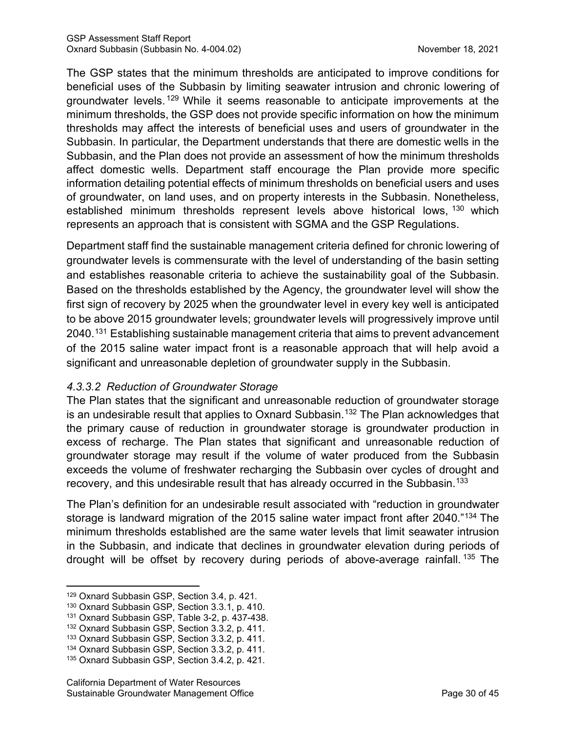The GSP states that the minimum thresholds are anticipated to improve conditions for beneficial uses of the Subbasin by limiting seawater intrusion and chronic lowering of groundwater levels. [129](#page-35-0) While it seems reasonable to anticipate improvements at the minimum thresholds, the GSP does not provide specific information on how the minimum thresholds may affect the interests of beneficial uses and users of groundwater in the Subbasin. In particular, the Department understands that there are domestic wells in the Subbasin, and the Plan does not provide an assessment of how the minimum thresholds affect domestic wells. Department staff encourage the Plan provide more specific information detailing potential effects of minimum thresholds on beneficial users and uses of groundwater, on land uses, and on property interests in the Subbasin. Nonetheless, established minimum thresholds represent levels above historical lows, <sup>[130](#page-35-1)</sup> which represents an approach that is consistent with SGMA and the GSP Regulations.

Department staff find the sustainable management criteria defined for chronic lowering of groundwater levels is commensurate with the level of understanding of the basin setting and establishes reasonable criteria to achieve the sustainability goal of the Subbasin. Based on the thresholds established by the Agency, the groundwater level will show the first sign of recovery by 2025 when the groundwater level in every key well is anticipated to be above 2015 groundwater levels; groundwater levels will progressively improve until 2040.<sup>[131](#page-35-2)</sup> Establishing sustainable management criteria that aims to prevent advancement of the 2015 saline water impact front is a reasonable approach that will help avoid a significant and unreasonable depletion of groundwater supply in the Subbasin.

#### *4.3.3.2 Reduction of Groundwater Storage*

The Plan states that the significant and unreasonable reduction of groundwater storage is an undesirable result that applies to Oxnard Subbasin.<sup>[132](#page-35-3)</sup> The Plan acknowledges that the primary cause of reduction in groundwater storage is groundwater production in excess of recharge. The Plan states that significant and unreasonable reduction of groundwater storage may result if the volume of water produced from the Subbasin exceeds the volume of freshwater recharging the Subbasin over cycles of drought and recovery, and this undesirable result that has already occurred in the Subbasin.<sup>[133](#page-35-4)</sup>

The Plan's definition for an undesirable result associated with "reduction in groundwater storage is landward migration of the 2015 saline water impact front after 2040."<sup>[134](#page-35-5)</sup> The minimum thresholds established are the same water levels that limit seawater intrusion in the Subbasin, and indicate that declines in groundwater elevation during periods of drought will be offset by recovery during periods of above-average rainfall. [135](#page-35-6) The

<span id="page-35-0"></span><sup>129</sup> Oxnard Subbasin GSP, Section 3.4, p. 421.

<span id="page-35-1"></span><sup>130</sup> Oxnard Subbasin GSP, Section 3.3.1, p. 410.

<span id="page-35-2"></span><sup>131</sup> Oxnard Subbasin GSP, Table 3-2, p. 437-438.

<span id="page-35-3"></span><sup>132</sup> Oxnard Subbasin GSP, Section 3.3.2, p. 411.

<span id="page-35-4"></span><sup>133</sup> Oxnard Subbasin GSP, Section 3.3.2, p. 411.

<span id="page-35-5"></span><sup>134</sup> Oxnard Subbasin GSP, Section 3.3.2, p. 411.

<span id="page-35-6"></span><sup>135</sup> Oxnard Subbasin GSP, Section 3.4.2, p. 421.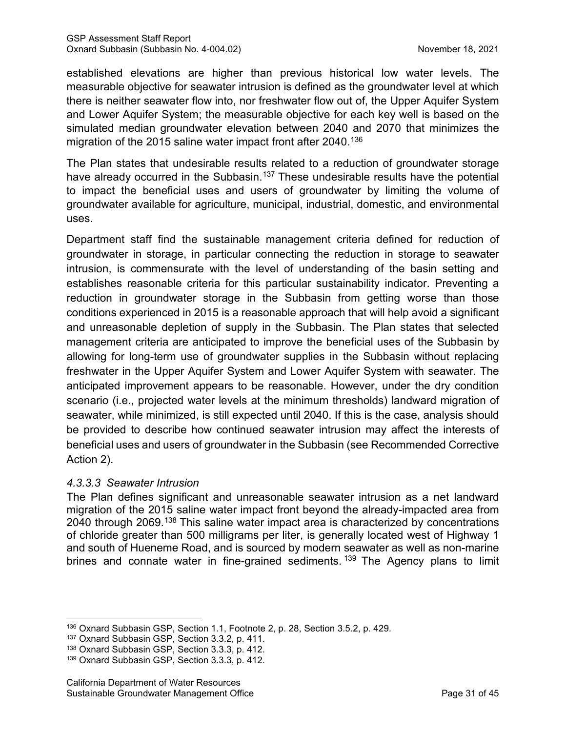established elevations are higher than previous historical low water levels. The measurable objective for seawater intrusion is defined as the groundwater level at which there is neither seawater flow into, nor freshwater flow out of, the Upper Aquifer System and Lower Aquifer System; the measurable objective for each key well is based on the simulated median groundwater elevation between 2040 and 2070 that minimizes the migration of the 2015 saline water impact front after 2040. [136](#page-36-0)

The Plan states that undesirable results related to a reduction of groundwater storage have already occurred in the Subbasin.<sup>[137](#page-36-1)</sup> These undesirable results have the potential to impact the beneficial uses and users of groundwater by limiting the volume of groundwater available for agriculture, municipal, industrial, domestic, and environmental uses.

Department staff find the sustainable management criteria defined for reduction of groundwater in storage, in particular connecting the reduction in storage to seawater intrusion, is commensurate with the level of understanding of the basin setting and establishes reasonable criteria for this particular sustainability indicator. Preventing a reduction in groundwater storage in the Subbasin from getting worse than those conditions experienced in 2015 is a reasonable approach that will help avoid a significant and unreasonable depletion of supply in the Subbasin. The Plan states that selected management criteria are anticipated to improve the beneficial uses of the Subbasin by allowing for long-term use of groundwater supplies in the Subbasin without replacing freshwater in the Upper Aquifer System and Lower Aquifer System with seawater. The anticipated improvement appears to be reasonable. However, under the dry condition scenario (i.e., projected water levels at the minimum thresholds) landward migration of seawater, while minimized, is still expected until 2040. If this is the case, analysis should be provided to describe how continued seawater intrusion may affect the interests of beneficial uses and users of groundwater in the Subbasin (see Recommended Corrective Action 2).

#### *4.3.3.3 Seawater Intrusion*

The Plan defines significant and unreasonable seawater intrusion as a net landward migration of the 2015 saline water impact front beyond the already-impacted area from 2040 through 2069.<sup>[138](#page-36-2)</sup> This saline water impact area is characterized by concentrations of chloride greater than 500 milligrams per liter, is generally located west of Highway 1 and south of Hueneme Road, and is sourced by modern seawater as well as non-marine brines and connate water in fine-grained sediments.<sup>[139](#page-36-3)</sup> The Agency plans to limit

<span id="page-36-0"></span><sup>136</sup> Oxnard Subbasin GSP, Section 1.1, Footnote 2, p. 28, Section 3.5.2, p. 429.

<span id="page-36-1"></span><sup>137</sup> Oxnard Subbasin GSP, Section 3.3.2, p. 411.

<span id="page-36-2"></span><sup>138</sup> Oxnard Subbasin GSP, Section 3.3.3, p. 412.

<span id="page-36-3"></span><sup>139</sup> Oxnard Subbasin GSP, Section 3.3.3, p. 412.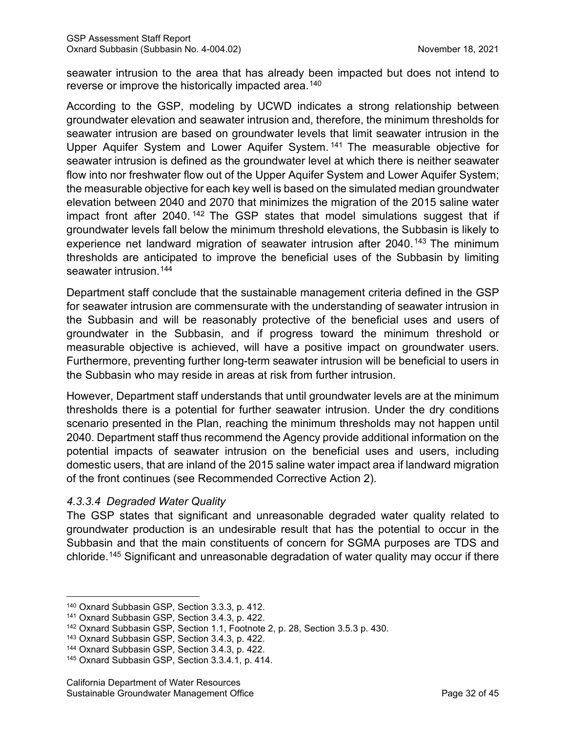seawater intrusion to the area that has already been impacted but does not intend to reverse or improve the historically impacted area.<sup>[140](#page-37-0)</sup>

According to the GSP, modeling by UCWD indicates a strong relationship between groundwater elevation and seawater intrusion and, therefore, the minimum thresholds for seawater intrusion are based on groundwater levels that limit seawater intrusion in the Upper Aquifer System and Lower Aquifer System. [141](#page-37-1) The measurable objective for seawater intrusion is defined as the groundwater level at which there is neither seawater flow into nor freshwater flow out of the Upper Aquifer System and Lower Aquifer System; the measurable objective for each key well is based on the simulated median groundwater elevation between 2040 and 2070 that minimizes the migration of the 2015 saline water impact front after 2040.<sup>[142](#page-37-2)</sup> The GSP states that model simulations suggest that if groundwater levels fall below the minimum threshold elevations, the Subbasin is likely to experience net landward migration of seawater intrusion after 2040.<sup>[143](#page-37-3)</sup> The minimum thresholds are anticipated to improve the beneficial uses of the Subbasin by limiting seawater intrusion.<sup>[144](#page-37-4)</sup>

Department staff conclude that the sustainable management criteria defined in the GSP for seawater intrusion are commensurate with the understanding of seawater intrusion in the Subbasin and will be reasonably protective of the beneficial uses and users of groundwater in the Subbasin, and if progress toward the minimum threshold or measurable objective is achieved, will have a positive impact on groundwater users. Furthermore, preventing further long-term seawater intrusion will be beneficial to users in the Subbasin who may reside in areas at risk from further intrusion.

However, Department staff understands that until groundwater levels are at the minimum thresholds there is a potential for further seawater intrusion. Under the dry conditions scenario presented in the Plan, reaching the minimum thresholds may not happen until 2040. Department staff thus recommend the Agency provide additional information on the potential impacts of seawater intrusion on the beneficial uses and users, including domestic users, that are inland of the 2015 saline water impact area if landward migration of the front continues (see Recommended Corrective Action 2).

#### *4.3.3.4 Degraded Water Quality*

The GSP states that significant and unreasonable degraded water quality related to groundwater production is an undesirable result that has the potential to occur in the Subbasin and that the main constituents of concern for SGMA purposes are TDS and chloride.[145](#page-37-5) Significant and unreasonable degradation of water quality may occur if there

<span id="page-37-0"></span><sup>140</sup> Oxnard Subbasin GSP, Section 3.3.3, p. 412.

<span id="page-37-1"></span><sup>141</sup> Oxnard Subbasin GSP, Section 3.4.3, p. 422.

<span id="page-37-2"></span><sup>142</sup> Oxnard Subbasin GSP, Section 1.1, Footnote 2, p. 28, Section 3.5.3 p. 430.

<span id="page-37-3"></span><sup>143</sup> Oxnard Subbasin GSP, Section 3.4.3, p. 422.

<span id="page-37-4"></span><sup>144</sup> Oxnard Subbasin GSP, Section 3.4.3, p. 422.

<span id="page-37-5"></span><sup>145</sup> Oxnard Subbasin GSP, Section 3.3.4.1, p. 414.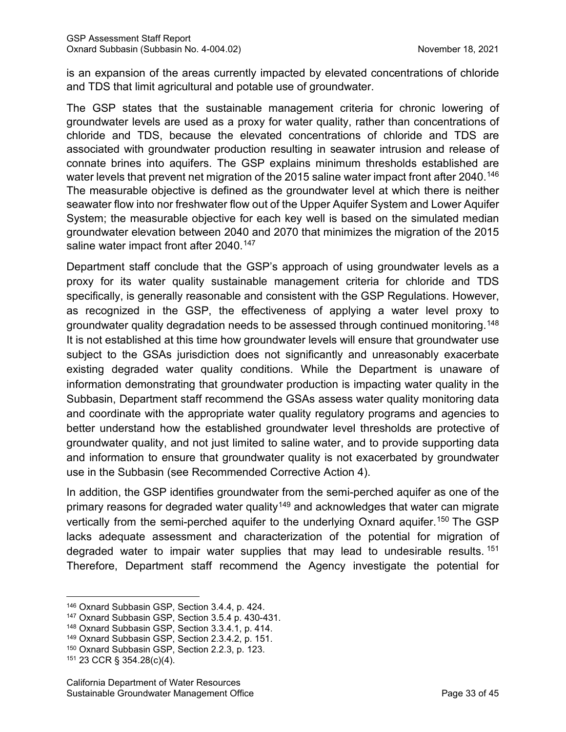is an expansion of the areas currently impacted by elevated concentrations of chloride and TDS that limit agricultural and potable use of groundwater.

The GSP states that the sustainable management criteria for chronic lowering of groundwater levels are used as a proxy for water quality, rather than concentrations of chloride and TDS, because the elevated concentrations of chloride and TDS are associated with groundwater production resulting in seawater intrusion and release of connate brines into aquifers. The GSP explains minimum thresholds established are water levels that prevent net migration of the 2015 saline water impact front after 2040.<sup>[146](#page-38-0)</sup> The measurable objective is defined as the groundwater level at which there is neither seawater flow into nor freshwater flow out of the Upper Aquifer System and Lower Aquifer System; the measurable objective for each key well is based on the simulated median groundwater elevation between 2040 and 2070 that minimizes the migration of the 2015 saline water impact front after 2040. [147](#page-38-1)

Department staff conclude that the GSP's approach of using groundwater levels as a proxy for its water quality sustainable management criteria for chloride and TDS specifically, is generally reasonable and consistent with the GSP Regulations. However, as recognized in the GSP, the effectiveness of applying a water level proxy to groundwater quality degradation needs to be assessed through continued monitoring.[148](#page-38-2) It is not established at this time how groundwater levels will ensure that groundwater use subject to the GSAs jurisdiction does not significantly and unreasonably exacerbate existing degraded water quality conditions. While the Department is unaware of information demonstrating that groundwater production is impacting water quality in the Subbasin, Department staff recommend the GSAs assess water quality monitoring data and coordinate with the appropriate water quality regulatory programs and agencies to better understand how the established groundwater level thresholds are protective of groundwater quality, and not just limited to saline water, and to provide supporting data and information to ensure that groundwater quality is not exacerbated by groundwater use in the Subbasin (see Recommended Corrective Action 4).

In addition, the GSP identifies groundwater from the semi-perched aquifer as one of the primary reasons for degraded water quality<sup>[149](#page-38-3)</sup> and acknowledges that water can migrate vertically from the semi-perched aquifer to the underlying Oxnard aquifer.<sup>[150](#page-38-4)</sup> The GSP lacks adequate assessment and characterization of the potential for migration of degraded water to impair water supplies that may lead to undesirable results.<sup>[151](#page-38-5)</sup> Therefore, Department staff recommend the Agency investigate the potential for

<span id="page-38-0"></span><sup>146</sup> Oxnard Subbasin GSP, Section 3.4.4, p. 424.

<span id="page-38-1"></span><sup>147</sup> Oxnard Subbasin GSP, Section 3.5.4 p. 430-431.

<span id="page-38-2"></span><sup>148</sup> Oxnard Subbasin GSP, Section 3.3.4.1, p. 414.

<span id="page-38-3"></span><sup>149</sup> Oxnard Subbasin GSP, Section 2.3.4.2, p. 151.

<span id="page-38-4"></span><sup>150</sup> Oxnard Subbasin GSP, Section 2.2.3, p. 123.

<span id="page-38-5"></span><sup>151</sup> 23 CCR § 354.28(c)(4).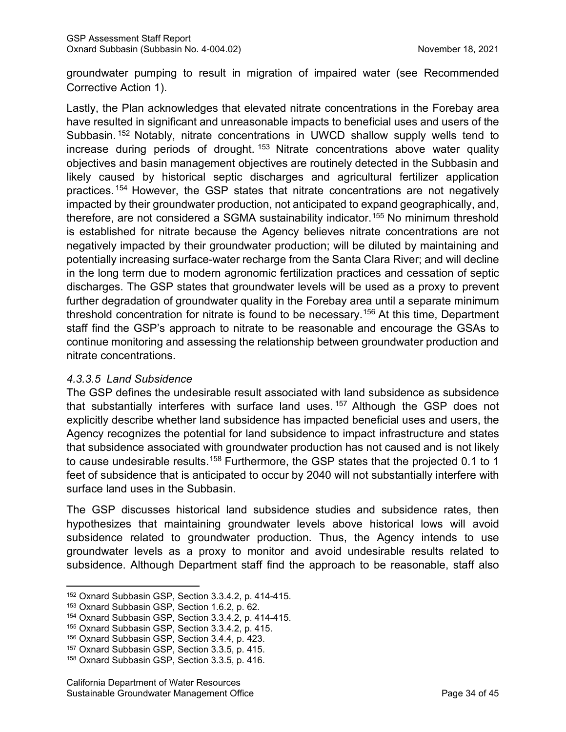groundwater pumping to result in migration of impaired water (see Recommended Corrective Action 1).

Lastly, the Plan acknowledges that elevated nitrate concentrations in the Forebay area have resulted in significant and unreasonable impacts to beneficial uses and users of the Subbasin. [152](#page-39-0) Notably, nitrate concentrations in UWCD shallow supply wells tend to increase during periods of drought.  $153$  Nitrate concentrations above water quality objectives and basin management objectives are routinely detected in the Subbasin and likely caused by historical septic discharges and agricultural fertilizer application practices. [154](#page-39-2) However, the GSP states that nitrate concentrations are not negatively impacted by their groundwater production, not anticipated to expand geographically, and, therefore, are not considered a SGMA sustainability indicator.[155](#page-39-3) No minimum threshold is established for nitrate because the Agency believes nitrate concentrations are not negatively impacted by their groundwater production; will be diluted by maintaining and potentially increasing surface-water recharge from the Santa Clara River; and will decline in the long term due to modern agronomic fertilization practices and cessation of septic discharges. The GSP states that groundwater levels will be used as a proxy to prevent further degradation of groundwater quality in the Forebay area until a separate minimum threshold concentration for nitrate is found to be necessary.[156](#page-39-4) At this time, Department staff find the GSP's approach to nitrate to be reasonable and encourage the GSAs to continue monitoring and assessing the relationship between groundwater production and nitrate concentrations.

#### *4.3.3.5 Land Subsidence*

The GSP defines the undesirable result associated with land subsidence as subsidence that substantially interferes with surface land uses. [157](#page-39-5) Although the GSP does not explicitly describe whether land subsidence has impacted beneficial uses and users, the Agency recognizes the potential for land subsidence to impact infrastructure and states that subsidence associated with groundwater production has not caused and is not likely to cause undesirable results.<sup>[158](#page-39-6)</sup> Furthermore, the GSP states that the projected 0.1 to 1 feet of subsidence that is anticipated to occur by 2040 will not substantially interfere with surface land uses in the Subbasin.

The GSP discusses historical land subsidence studies and subsidence rates, then hypothesizes that maintaining groundwater levels above historical lows will avoid subsidence related to groundwater production. Thus, the Agency intends to use groundwater levels as a proxy to monitor and avoid undesirable results related to subsidence. Although Department staff find the approach to be reasonable, staff also

<span id="page-39-0"></span><sup>152</sup> Oxnard Subbasin GSP, Section 3.3.4.2, p. 414-415.

<span id="page-39-1"></span><sup>153</sup> Oxnard Subbasin GSP, Section 1.6.2, p. 62.

<span id="page-39-2"></span><sup>154</sup> Oxnard Subbasin GSP, Section 3.3.4.2, p. 414-415.

<span id="page-39-3"></span><sup>155</sup> Oxnard Subbasin GSP, Section 3.3.4.2, p. 415.

<span id="page-39-4"></span><sup>156</sup> Oxnard Subbasin GSP, Section 3.4.4, p. 423.

<span id="page-39-5"></span><sup>157</sup> Oxnard Subbasin GSP, Section 3.3.5, p. 415.

<span id="page-39-6"></span><sup>158</sup> Oxnard Subbasin GSP, Section 3.3.5, p. 416.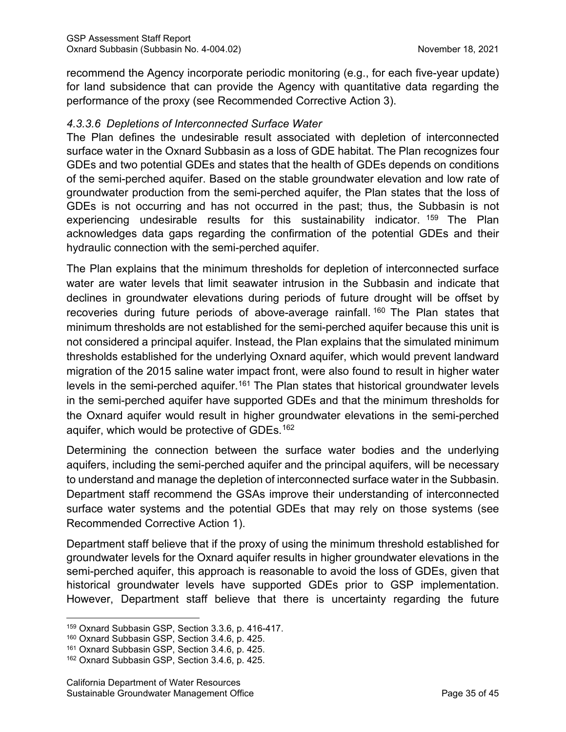recommend the Agency incorporate periodic monitoring (e.g., for each five-year update) for land subsidence that can provide the Agency with quantitative data regarding the performance of the proxy (see Recommended Corrective Action 3).

#### *4.3.3.6 Depletions of Interconnected Surface Water*

The Plan defines the undesirable result associated with depletion of interconnected surface water in the Oxnard Subbasin as a loss of GDE habitat. The Plan recognizes four GDEs and two potential GDEs and states that the health of GDEs depends on conditions of the semi-perched aquifer. Based on the stable groundwater elevation and low rate of groundwater production from the semi-perched aquifer, the Plan states that the loss of GDEs is not occurring and has not occurred in the past; thus, the Subbasin is not experiencing undesirable results for this sustainability indicator. <sup>[159](#page-40-0)</sup> The Plan acknowledges data gaps regarding the confirmation of the potential GDEs and their hydraulic connection with the semi-perched aquifer.

The Plan explains that the minimum thresholds for depletion of interconnected surface water are water levels that limit seawater intrusion in the Subbasin and indicate that declines in groundwater elevations during periods of future drought will be offset by recoveries during future periods of above-average rainfall.<sup>[160](#page-40-1)</sup> The Plan states that minimum thresholds are not established for the semi-perched aquifer because this unit is not considered a principal aquifer. Instead, the Plan explains that the simulated minimum thresholds established for the underlying Oxnard aquifer, which would prevent landward migration of the 2015 saline water impact front, were also found to result in higher water levels in the semi-perched aquifer.<sup>[161](#page-40-2)</sup> The Plan states that historical groundwater levels in the semi-perched aquifer have supported GDEs and that the minimum thresholds for the Oxnard aquifer would result in higher groundwater elevations in the semi-perched aquifer, which would be protective of GDEs.<sup>[162](#page-40-3)</sup>

Determining the connection between the surface water bodies and the underlying aquifers, including the semi-perched aquifer and the principal aquifers, will be necessary to understand and manage the depletion of interconnected surface water in the Subbasin. Department staff recommend the GSAs improve their understanding of interconnected surface water systems and the potential GDEs that may rely on those systems (see Recommended Corrective Action 1).

Department staff believe that if the proxy of using the minimum threshold established for groundwater levels for the Oxnard aquifer results in higher groundwater elevations in the semi-perched aquifer, this approach is reasonable to avoid the loss of GDEs, given that historical groundwater levels have supported GDEs prior to GSP implementation. However, Department staff believe that there is uncertainty regarding the future

<span id="page-40-0"></span><sup>159</sup> Oxnard Subbasin GSP, Section 3.3.6, p. 416-417.

<span id="page-40-1"></span><sup>160</sup> Oxnard Subbasin GSP, Section 3.4.6, p. 425.

<span id="page-40-2"></span><sup>161</sup> Oxnard Subbasin GSP, Section 3.4.6, p. 425.

<span id="page-40-3"></span><sup>162</sup> Oxnard Subbasin GSP, Section 3.4.6, p. 425.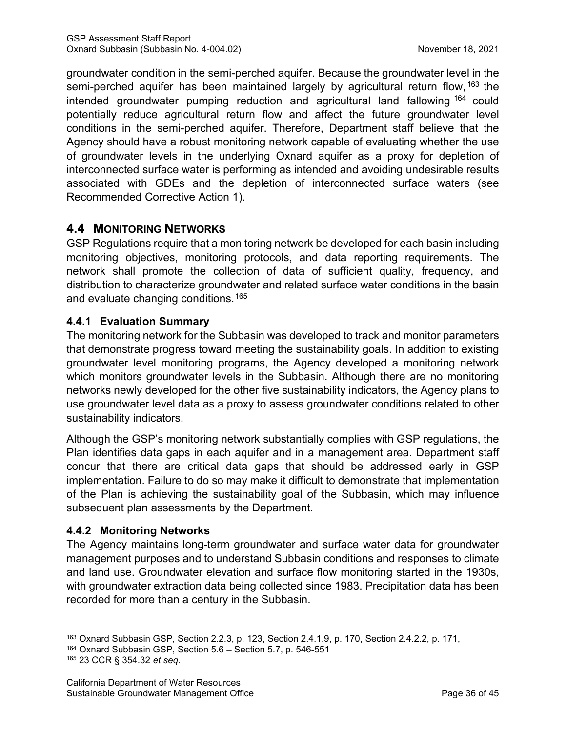groundwater condition in the semi-perched aquifer. Because the groundwater level in the semi-perched aquifer has been maintained largely by agricultural return flow, <sup>[163](#page-41-0)</sup> the intended groundwater pumping reduction and agricultural land fallowing [164](#page-41-1) could potentially reduce agricultural return flow and affect the future groundwater level conditions in the semi-perched aquifer. Therefore, Department staff believe that the Agency should have a robust monitoring network capable of evaluating whether the use of groundwater levels in the underlying Oxnard aquifer as a proxy for depletion of interconnected surface water is performing as intended and avoiding undesirable results associated with GDEs and the depletion of interconnected surface waters (see Recommended Corrective Action 1).

# **4.4 MONITORING NETWORKS**

GSP Regulations require that a monitoring network be developed for each basin including monitoring objectives, monitoring protocols, and data reporting requirements. The network shall promote the collection of data of sufficient quality, frequency, and distribution to characterize groundwater and related surface water conditions in the basin and evaluate changing conditions.[165](#page-41-2)

## **4.4.1 Evaluation Summary**

The monitoring network for the Subbasin was developed to track and monitor parameters that demonstrate progress toward meeting the sustainability goals. In addition to existing groundwater level monitoring programs, the Agency developed a monitoring network which monitors groundwater levels in the Subbasin. Although there are no monitoring networks newly developed for the other five sustainability indicators, the Agency plans to use groundwater level data as a proxy to assess groundwater conditions related to other sustainability indicators.

Although the GSP's monitoring network substantially complies with GSP regulations, the Plan identifies data gaps in each aquifer and in a management area. Department staff concur that there are critical data gaps that should be addressed early in GSP implementation. Failure to do so may make it difficult to demonstrate that implementation of the Plan is achieving the sustainability goal of the Subbasin, which may influence subsequent plan assessments by the Department.

## **4.4.2 Monitoring Networks**

The Agency maintains long-term groundwater and surface water data for groundwater management purposes and to understand Subbasin conditions and responses to climate and land use. Groundwater elevation and surface flow monitoring started in the 1930s, with groundwater extraction data being collected since 1983. Precipitation data has been recorded for more than a century in the Subbasin.

<span id="page-41-0"></span><sup>163</sup> Oxnard Subbasin GSP, Section 2.2.3, p. 123, Section 2.4.1.9, p. 170, Section 2.4.2.2, p. 171,

<span id="page-41-1"></span><sup>164</sup> Oxnard Subbasin GSP, Section 5.6 – Section 5.7, p. 546-551

<span id="page-41-2"></span><sup>165</sup> 23 CCR § 354.32 *et seq*.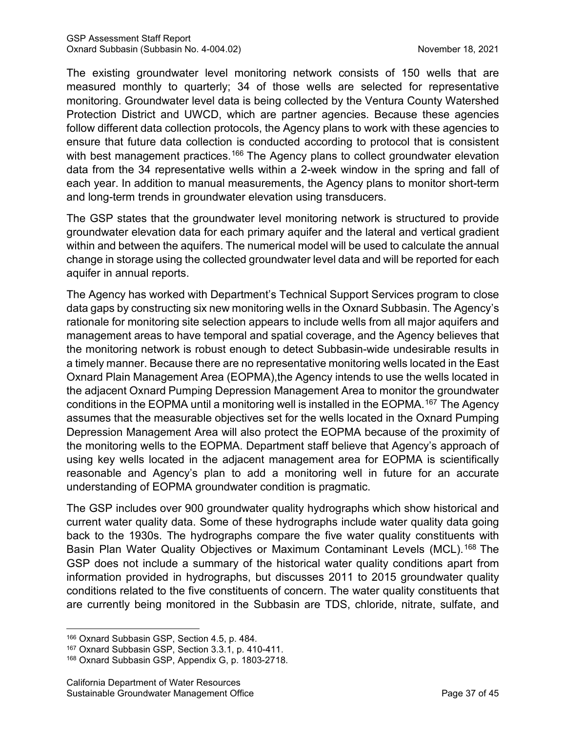The existing groundwater level monitoring network consists of 150 wells that are measured monthly to quarterly; 34 of those wells are selected for representative monitoring. Groundwater level data is being collected by the Ventura County Watershed Protection District and UWCD, which are partner agencies. Because these agencies follow different data collection protocols, the Agency plans to work with these agencies to ensure that future data collection is conducted according to protocol that is consistent with best management practices.<sup>[166](#page-42-0)</sup> The Agency plans to collect groundwater elevation data from the 34 representative wells within a 2-week window in the spring and fall of each year. In addition to manual measurements, the Agency plans to monitor short-term and long-term trends in groundwater elevation using transducers.

The GSP states that the groundwater level monitoring network is structured to provide groundwater elevation data for each primary aquifer and the lateral and vertical gradient within and between the aquifers. The numerical model will be used to calculate the annual change in storage using the collected groundwater level data and will be reported for each aquifer in annual reports.

The Agency has worked with Department's Technical Support Services program to close data gaps by constructing six new monitoring wells in the Oxnard Subbasin. The Agency's rationale for monitoring site selection appears to include wells from all major aquifers and management areas to have temporal and spatial coverage, and the Agency believes that the monitoring network is robust enough to detect Subbasin-wide undesirable results in a timely manner. Because there are no representative monitoring wells located in the East Oxnard Plain Management Area (EOPMA),the Agency intends to use the wells located in the adjacent Oxnard Pumping Depression Management Area to monitor the groundwater conditions in the EOPMA until a monitoring well is installed in the EOPMA.<sup>[167](#page-42-1)</sup> The Agency assumes that the measurable objectives set for the wells located in the Oxnard Pumping Depression Management Area will also protect the EOPMA because of the proximity of the monitoring wells to the EOPMA. Department staff believe that Agency's approach of using key wells located in the adjacent management area for EOPMA is scientifically reasonable and Agency's plan to add a monitoring well in future for an accurate understanding of EOPMA groundwater condition is pragmatic.

The GSP includes over 900 groundwater quality hydrographs which show historical and current water quality data. Some of these hydrographs include water quality data going back to the 1930s. The hydrographs compare the five water quality constituents with Basin Plan Water Quality Objectives or Maximum Contaminant Levels (MCL).<sup>[168](#page-42-2)</sup> The GSP does not include a summary of the historical water quality conditions apart from information provided in hydrographs, but discusses 2011 to 2015 groundwater quality conditions related to the five constituents of concern. The water quality constituents that are currently being monitored in the Subbasin are TDS, chloride, nitrate, sulfate, and

<span id="page-42-0"></span><sup>166</sup> Oxnard Subbasin GSP, Section 4.5, p. 484.

<span id="page-42-1"></span><sup>167</sup> Oxnard Subbasin GSP, Section 3.3.1, p. 410-411.

<span id="page-42-2"></span><sup>168</sup> Oxnard Subbasin GSP, Appendix G, p. 1803-2718.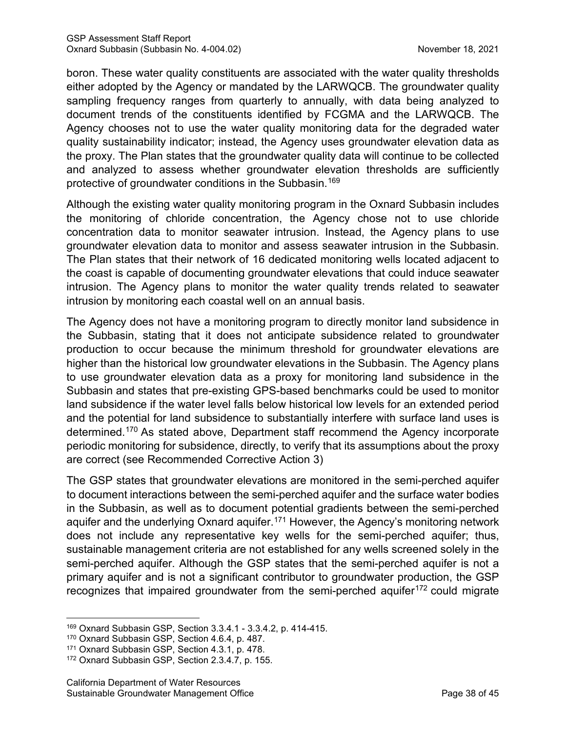boron. These water quality constituents are associated with the water quality thresholds either adopted by the Agency or mandated by the LARWQCB. The groundwater quality sampling frequency ranges from quarterly to annually, with data being analyzed to document trends of the constituents identified by FCGMA and the LARWQCB. The Agency chooses not to use the water quality monitoring data for the degraded water quality sustainability indicator; instead, the Agency uses groundwater elevation data as the proxy. The Plan states that the groundwater quality data will continue to be collected and analyzed to assess whether groundwater elevation thresholds are sufficiently protective of groundwater conditions in the Subbasin. [169](#page-43-0)

Although the existing water quality monitoring program in the Oxnard Subbasin includes the monitoring of chloride concentration, the Agency chose not to use chloride concentration data to monitor seawater intrusion. Instead, the Agency plans to use groundwater elevation data to monitor and assess seawater intrusion in the Subbasin. The Plan states that their network of 16 dedicated monitoring wells located adjacent to the coast is capable of documenting groundwater elevations that could induce seawater intrusion. The Agency plans to monitor the water quality trends related to seawater intrusion by monitoring each coastal well on an annual basis.

The Agency does not have a monitoring program to directly monitor land subsidence in the Subbasin, stating that it does not anticipate subsidence related to groundwater production to occur because the minimum threshold for groundwater elevations are higher than the historical low groundwater elevations in the Subbasin. The Agency plans to use groundwater elevation data as a proxy for monitoring land subsidence in the Subbasin and states that pre-existing GPS-based benchmarks could be used to monitor land subsidence if the water level falls below historical low levels for an extended period and the potential for land subsidence to substantially interfere with surface land uses is determined.[170](#page-43-1) As stated above, Department staff recommend the Agency incorporate periodic monitoring for subsidence, directly, to verify that its assumptions about the proxy are correct (see Recommended Corrective Action 3)

The GSP states that groundwater elevations are monitored in the semi-perched aquifer to document interactions between the semi-perched aquifer and the surface water bodies in the Subbasin, as well as to document potential gradients between the semi-perched aquifer and the underlying Oxnard aquifer. [171](#page-43-2) However, the Agency's monitoring network does not include any representative key wells for the semi-perched aquifer; thus, sustainable management criteria are not established for any wells screened solely in the semi-perched aquifer. Although the GSP states that the semi-perched aquifer is not a primary aquifer and is not a significant contributor to groundwater production, the GSP recognizes that impaired groundwater from the semi-perched aquifer<sup>[172](#page-43-3)</sup> could migrate

<span id="page-43-0"></span><sup>169</sup> Oxnard Subbasin GSP, Section 3.3.4.1 - 3.3.4.2, p. 414-415.

<span id="page-43-1"></span><sup>170</sup> Oxnard Subbasin GSP, Section 4.6.4, p. 487.

<span id="page-43-2"></span><sup>171</sup> Oxnard Subbasin GSP, Section 4.3.1, p. 478.

<span id="page-43-3"></span><sup>172</sup> Oxnard Subbasin GSP, Section 2.3.4.7, p. 155.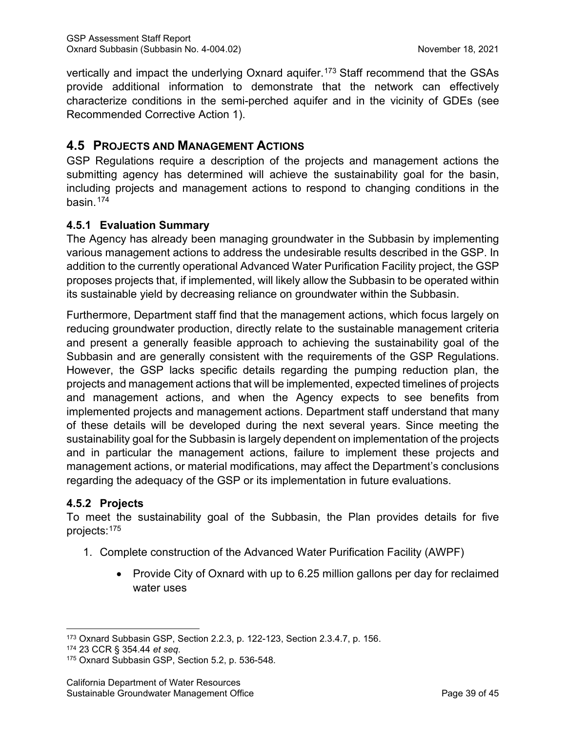vertically and impact the underlying Oxnard aquifer.<sup>[173](#page-44-0)</sup> Staff recommend that the GSAs provide additional information to demonstrate that the network can effectively characterize conditions in the semi-perched aquifer and in the vicinity of GDEs (see Recommended Corrective Action 1).

# **4.5 PROJECTS AND MANAGEMENT ACTIONS**

GSP Regulations require a description of the projects and management actions the submitting agency has determined will achieve the sustainability goal for the basin, including projects and management actions to respond to changing conditions in the basin.[174](#page-44-1)

## **4.5.1 Evaluation Summary**

The Agency has already been managing groundwater in the Subbasin by implementing various management actions to address the undesirable results described in the GSP. In addition to the currently operational Advanced Water Purification Facility project, the GSP proposes projects that, if implemented, will likely allow the Subbasin to be operated within its sustainable yield by decreasing reliance on groundwater within the Subbasin.

Furthermore, Department staff find that the management actions, which focus largely on reducing groundwater production, directly relate to the sustainable management criteria and present a generally feasible approach to achieving the sustainability goal of the Subbasin and are generally consistent with the requirements of the GSP Regulations. However, the GSP lacks specific details regarding the pumping reduction plan, the projects and management actions that will be implemented, expected timelines of projects and management actions, and when the Agency expects to see benefits from implemented projects and management actions. Department staff understand that many of these details will be developed during the next several years. Since meeting the sustainability goal for the Subbasin is largely dependent on implementation of the projects and in particular the management actions, failure to implement these projects and management actions, or material modifications, may affect the Department's conclusions regarding the adequacy of the GSP or its implementation in future evaluations.

## **4.5.2 Projects**

To meet the sustainability goal of the Subbasin, the Plan provides details for five projects:<sup>[175](#page-44-2)</sup>

- 1. Complete construction of the Advanced Water Purification Facility (AWPF)
	- Provide City of Oxnard with up to 6.25 million gallons per day for reclaimed water uses

<span id="page-44-0"></span><sup>173</sup> Oxnard Subbasin GSP, Section 2.2.3, p. 122-123, Section 2.3.4.7, p. 156.

<span id="page-44-1"></span><sup>174</sup> 23 CCR § 354.44 *et seq*.

<span id="page-44-2"></span><sup>175</sup> Oxnard Subbasin GSP, Section 5.2, p. 536-548.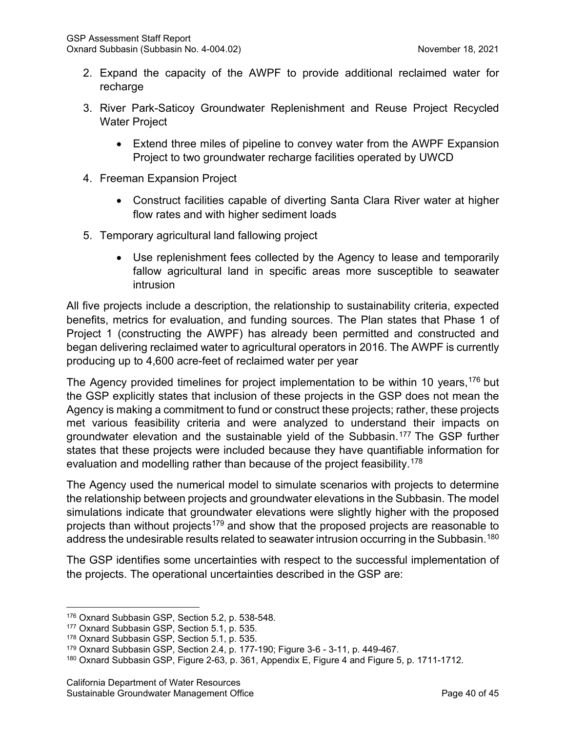- 2. Expand the capacity of the AWPF to provide additional reclaimed water for recharge
- 3. River Park-Saticoy Groundwater Replenishment and Reuse Project Recycled Water Project
	- Extend three miles of pipeline to convey water from the AWPF Expansion Project to two groundwater recharge facilities operated by UWCD
- 4. Freeman Expansion Project
	- Construct facilities capable of diverting Santa Clara River water at higher flow rates and with higher sediment loads
- 5. Temporary agricultural land fallowing project
	- Use replenishment fees collected by the Agency to lease and temporarily fallow agricultural land in specific areas more susceptible to seawater intrusion

All five projects include a description, the relationship to sustainability criteria, expected benefits, metrics for evaluation, and funding sources. The Plan states that Phase 1 of Project 1 (constructing the AWPF) has already been permitted and constructed and began delivering reclaimed water to agricultural operators in 2016. The AWPF is currently producing up to 4,600 acre-feet of reclaimed water per year

The Agency provided timelines for project implementation to be within 10 years, [176](#page-45-0) but the GSP explicitly states that inclusion of these projects in the GSP does not mean the Agency is making a commitment to fund or construct these projects; rather, these projects met various feasibility criteria and were analyzed to understand their impacts on groundwater elevation and the sustainable yield of the Subbasin.[177](#page-45-1) The GSP further states that these projects were included because they have quantifiable information for evaluation and modelling rather than because of the project feasibility.<sup>[178](#page-45-2)</sup>

The Agency used the numerical model to simulate scenarios with projects to determine the relationship between projects and groundwater elevations in the Subbasin. The model simulations indicate that groundwater elevations were slightly higher with the proposed projects than without projects<sup>[179](#page-45-3)</sup> and show that the proposed projects are reasonable to address the undesirable results related to seawater intrusion occurring in the Subbasin.<sup>[180](#page-45-4)</sup>

The GSP identifies some uncertainties with respect to the successful implementation of the projects. The operational uncertainties described in the GSP are:

<span id="page-45-1"></span><span id="page-45-0"></span><sup>176</sup> Oxnard Subbasin GSP, Section 5.2, p. 538-548.

<sup>177</sup> Oxnard Subbasin GSP, Section 5.1, p. 535.

<span id="page-45-2"></span><sup>178</sup> Oxnard Subbasin GSP, Section 5.1, p. 535.

<span id="page-45-3"></span><sup>179</sup> Oxnard Subbasin GSP, Section 2.4, p. 177-190; Figure 3-6 - 3-11, p. 449-467.

<span id="page-45-4"></span><sup>&</sup>lt;sup>180</sup> Oxnard Subbasin GSP, Figure 2-63, p. 361, Appendix E, Figure 4 and Figure 5, p. 1711-1712.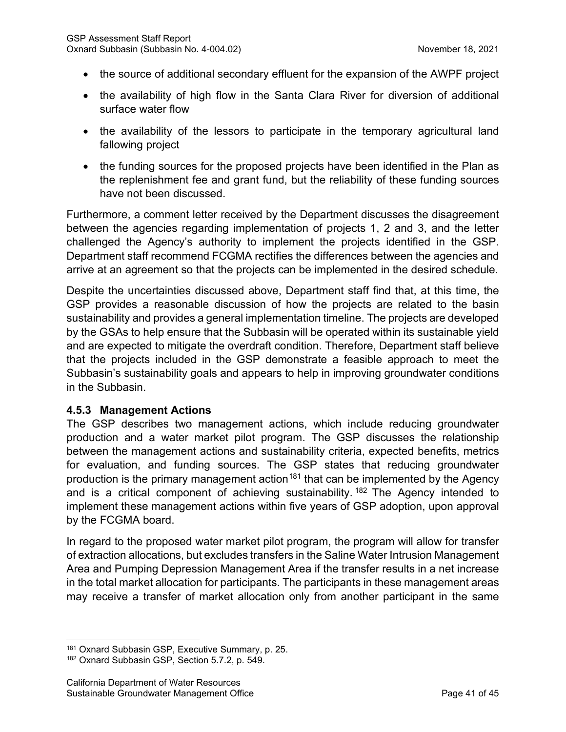- the source of additional secondary effluent for the expansion of the AWPF project
- the availability of high flow in the Santa Clara River for diversion of additional surface water flow
- the availability of the lessors to participate in the temporary agricultural land fallowing project
- the funding sources for the proposed projects have been identified in the Plan as the replenishment fee and grant fund, but the reliability of these funding sources have not been discussed.

Furthermore, a comment letter received by the Department discusses the disagreement between the agencies regarding implementation of projects 1, 2 and 3, and the letter challenged the Agency's authority to implement the projects identified in the GSP. Department staff recommend FCGMA rectifies the differences between the agencies and arrive at an agreement so that the projects can be implemented in the desired schedule.

Despite the uncertainties discussed above, Department staff find that, at this time, the GSP provides a reasonable discussion of how the projects are related to the basin sustainability and provides a general implementation timeline. The projects are developed by the GSAs to help ensure that the Subbasin will be operated within its sustainable yield and are expected to mitigate the overdraft condition. Therefore, Department staff believe that the projects included in the GSP demonstrate a feasible approach to meet the Subbasin's sustainability goals and appears to help in improving groundwater conditions in the Subbasin.

#### **4.5.3 Management Actions**

The GSP describes two management actions, which include reducing groundwater production and a water market pilot program. The GSP discusses the relationship between the management actions and sustainability criteria, expected benefits, metrics for evaluation, and funding sources. The GSP states that reducing groundwater production is the primary management action<sup>[181](#page-46-0)</sup> that can be implemented by the Agency and is a critical component of achieving sustainability.<sup>[182](#page-46-1)</sup> The Agency intended to implement these management actions within five years of GSP adoption, upon approval by the FCGMA board.

In regard to the proposed water market pilot program, the program will allow for transfer of extraction allocations, but excludes transfers in the Saline Water Intrusion Management Area and Pumping Depression Management Area if the transfer results in a net increase in the total market allocation for participants. The participants in these management areas may receive a transfer of market allocation only from another participant in the same

<span id="page-46-0"></span><sup>181</sup> Oxnard Subbasin GSP, Executive Summary, p. 25.

<span id="page-46-1"></span><sup>182</sup> Oxnard Subbasin GSP, Section 5.7.2, p. 549.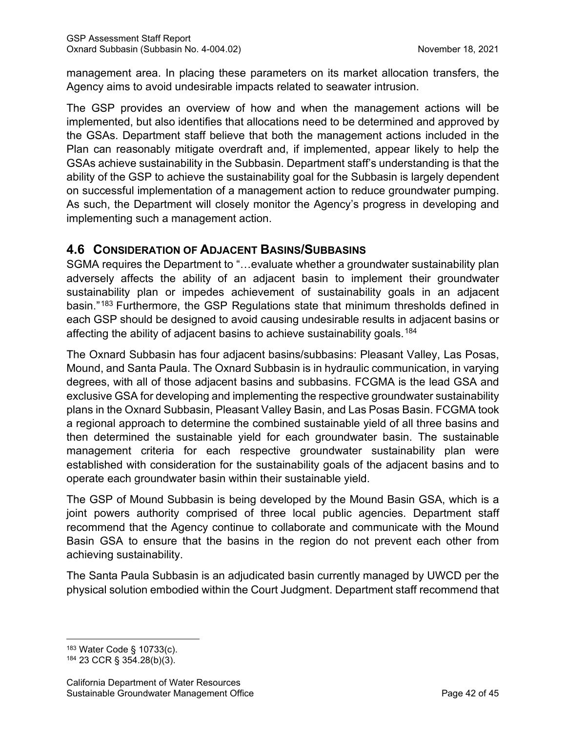management area. In placing these parameters on its market allocation transfers, the Agency aims to avoid undesirable impacts related to seawater intrusion.

The GSP provides an overview of how and when the management actions will be implemented, but also identifies that allocations need to be determined and approved by the GSAs. Department staff believe that both the management actions included in the Plan can reasonably mitigate overdraft and, if implemented, appear likely to help the GSAs achieve sustainability in the Subbasin. Department staff's understanding is that the ability of the GSP to achieve the sustainability goal for the Subbasin is largely dependent on successful implementation of a management action to reduce groundwater pumping. As such, the Department will closely monitor the Agency's progress in developing and implementing such a management action.

# **4.6 CONSIDERATION OF ADJACENT BASINS/SUBBASINS**

SGMA requires the Department to "…evaluate whether a groundwater sustainability plan adversely affects the ability of an adjacent basin to implement their groundwater sustainability plan or impedes achievement of sustainability goals in an adjacent basin."[183](#page-47-0) Furthermore, the GSP Regulations state that minimum thresholds defined in each GSP should be designed to avoid causing undesirable results in adjacent basins or affecting the ability of adjacent basins to achieve sustainability goals.<sup>[184](#page-47-1)</sup>

The Oxnard Subbasin has four adjacent basins/subbasins: Pleasant Valley, Las Posas, Mound, and Santa Paula. The Oxnard Subbasin is in hydraulic communication, in varying degrees, with all of those adjacent basins and subbasins. FCGMA is the lead GSA and exclusive GSA for developing and implementing the respective groundwater sustainability plans in the Oxnard Subbasin, Pleasant Valley Basin, and Las Posas Basin. FCGMA took a regional approach to determine the combined sustainable yield of all three basins and then determined the sustainable yield for each groundwater basin. The sustainable management criteria for each respective groundwater sustainability plan were established with consideration for the sustainability goals of the adjacent basins and to operate each groundwater basin within their sustainable yield.

The GSP of Mound Subbasin is being developed by the Mound Basin GSA, which is a joint powers authority comprised of three local public agencies. Department staff recommend that the Agency continue to collaborate and communicate with the Mound Basin GSA to ensure that the basins in the region do not prevent each other from achieving sustainability.

The Santa Paula Subbasin is an adjudicated basin currently managed by UWCD per the physical solution embodied within the Court Judgment. Department staff recommend that

<span id="page-47-0"></span><sup>183</sup> Water Code § 10733(c).

<span id="page-47-1"></span><sup>184</sup> 23 CCR § 354.28(b)(3).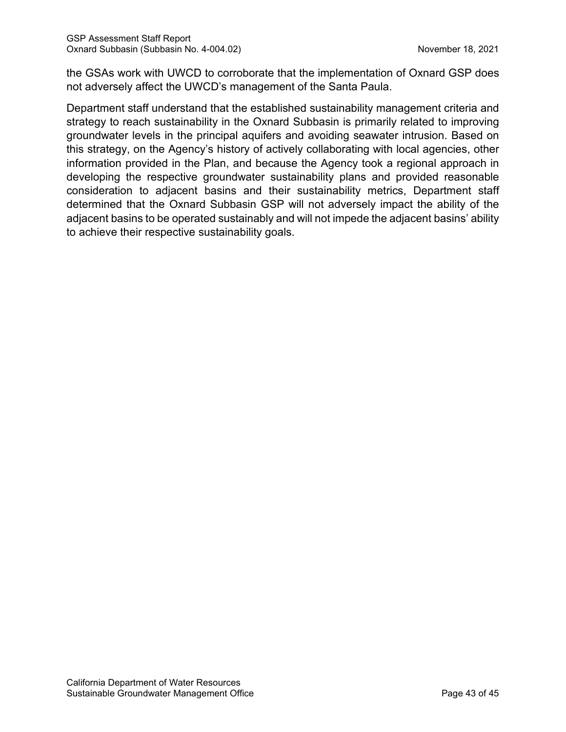the GSAs work with UWCD to corroborate that the implementation of Oxnard GSP does not adversely affect the UWCD's management of the Santa Paula.

Department staff understand that the established sustainability management criteria and strategy to reach sustainability in the Oxnard Subbasin is primarily related to improving groundwater levels in the principal aquifers and avoiding seawater intrusion. Based on this strategy, on the Agency's history of actively collaborating with local agencies, other information provided in the Plan, and because the Agency took a regional approach in developing the respective groundwater sustainability plans and provided reasonable consideration to adjacent basins and their sustainability metrics, Department staff determined that the Oxnard Subbasin GSP will not adversely impact the ability of the adjacent basins to be operated sustainably and will not impede the adjacent basins' ability to achieve their respective sustainability goals.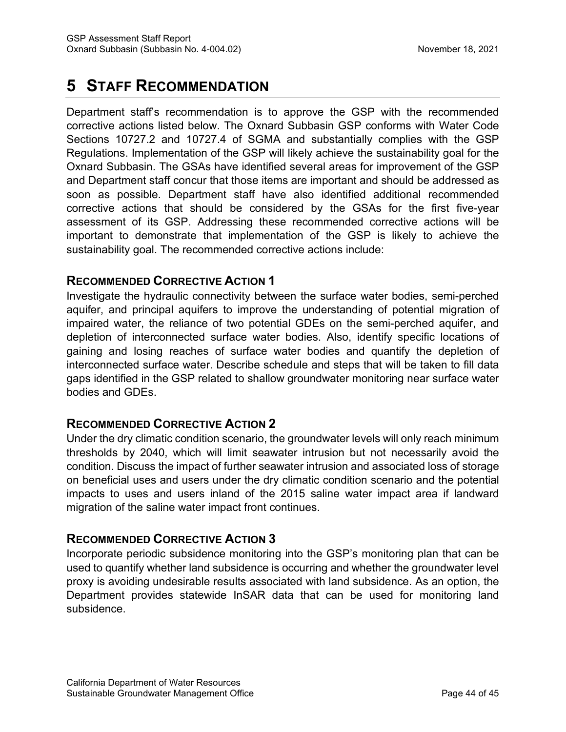# **5 STAFF RECOMMENDATION**

Department staff's recommendation is to approve the GSP with the recommended corrective actions listed below. The Oxnard Subbasin GSP conforms with Water Code Sections 10727.2 and 10727.4 of SGMA and substantially complies with the GSP Regulations. Implementation of the GSP will likely achieve the sustainability goal for the Oxnard Subbasin. The GSAs have identified several areas for improvement of the GSP and Department staff concur that those items are important and should be addressed as soon as possible. Department staff have also identified additional recommended corrective actions that should be considered by the GSAs for the first five-year assessment of its GSP. Addressing these recommended corrective actions will be important to demonstrate that implementation of the GSP is likely to achieve the sustainability goal. The recommended corrective actions include:

# **RECOMMENDED CORRECTIVE ACTION 1**

Investigate the hydraulic connectivity between the surface water bodies, semi-perched aquifer, and principal aquifers to improve the understanding of potential migration of impaired water, the reliance of two potential GDEs on the semi-perched aquifer, and depletion of interconnected surface water bodies. Also, identify specific locations of gaining and losing reaches of surface water bodies and quantify the depletion of interconnected surface water. Describe schedule and steps that will be taken to fill data gaps identified in the GSP related to shallow groundwater monitoring near surface water bodies and GDEs.

## **RECOMMENDED CORRECTIVE ACTION 2**

Under the dry climatic condition scenario, the groundwater levels will only reach minimum thresholds by 2040, which will limit seawater intrusion but not necessarily avoid the condition. Discuss the impact of further seawater intrusion and associated loss of storage on beneficial uses and users under the dry climatic condition scenario and the potential impacts to uses and users inland of the 2015 saline water impact area if landward migration of the saline water impact front continues.

## **RECOMMENDED CORRECTIVE ACTION 3**

Incorporate periodic subsidence monitoring into the GSP's monitoring plan that can be used to quantify whether land subsidence is occurring and whether the groundwater level proxy is avoiding undesirable results associated with land subsidence. As an option, the Department provides statewide InSAR data that can be used for monitoring land subsidence.